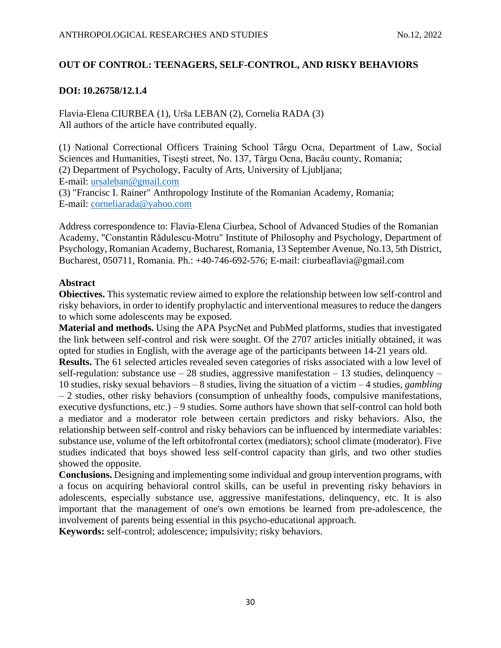### **OUT OF CONTROL: TEENAGERS, SELF-CONTROL, AND RISKY BEHAVIORS**

### **DOI: 10.26758/12.1.4**

Flavia-Elena CIURBEA (1), Urša LEBAN (2), Cornelia RADA (3) All authors of the article have contributed equally.

(1) National Correctional Officers Training School Târgu Ocna, Department of Law, Social Sciences and Humanities, Tisești street, No. 137, Târgu Ocna, Bacău county, Romania; (2) Department of Psychology, Faculty of Arts, University of Ljubljana; E-mail: [ursaleban@gmail.com](mailto:ursaleban@gmail.com) (3) "Francisc I. Rainer" Anthropology Institute of the Romanian Academy, Romania; E-mail: [corneliarada@yahoo.com](mailto:corneliarada@yahoo.com)

Address correspondence to: Flavia-Elena Ciurbea, School of Advanced Studies of the Romanian Academy, "Constantin Rădulescu-Motru" Institute of Philosophy and Psychology, Department of Psychology, Romanian Academy, Bucharest, Romania, 13 September Avenue, No.13, 5th District, Bucharest, 050711, Romania. Ph.: +40-746-692-576; E-mail: ciurbeaflavia@gmail.com

### **Abstract**

**Obiectives.** This systematic review aimed to explore the relationship between low self-control and risky behaviors, in order to identify prophylactic and interventional measures to reduce the dangers to which some adolescents may be exposed.

**Material and methods.** Using the APA PsycNet and PubMed platforms, studies that investigated the link between self-control and risk were sought. Of the 2707 articles initially obtained, it was opted for studies in English, with the average age of the participants between 14-21 years old.

**Results.** The 61 selected articles revealed seven categories of risks associated with a low level of self-regulation: substance use  $-28$  studies, aggressive manifestation  $-13$  studies, delinquency  $-$ 10 studies, risky sexual behaviors – 8 studies, living the situation of a victim – 4 studies, *gambling* – 2 studies, other risky behaviors (consumption of unhealthy foods, compulsive manifestations, executive dysfunctions, etc.) – 9 studies. Some authors have shown that self-control can hold both a mediator and a moderator role between certain predictors and risky behaviors. Also, the relationship between self-control and risky behaviors can be influenced by intermediate variables: substance use, volume of the left orbitofrontal cortex (mediators); school climate (moderator). Five studies indicated that boys showed less self-control capacity than girls, and two other studies showed the opposite.

**Conclusions.** Designing and implementing some individual and group intervention programs, with a focus on acquiring behavioral control skills, can be useful in preventing risky behaviors in adolescents, especially substance use, aggressive manifestations, delinquency, etc. It is also important that the management of one's own emotions be learned from pre-adolescence, the involvement of parents being essential in this psycho-educational approach.

**Keywords:** self-control; adolescence; impulsivity; risky behaviors.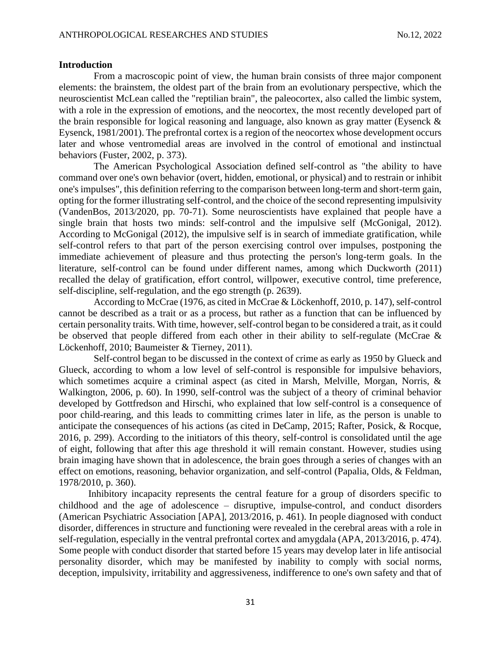### **Introduction**

From a macroscopic point of view, the human brain consists of three major component elements: the brainstem, the oldest part of the brain from an evolutionary perspective, which the neuroscientist McLean called the "reptilian brain", the paleocortex, also called the limbic system, with a role in the expression of emotions, and the neocortex, the most recently developed part of the brain responsible for logical reasoning and language, also known as gray matter (Eysenck & Eysenck, 1981/2001). The prefrontal cortex is a region of the neocortex whose development occurs later and whose ventromedial areas are involved in the control of emotional and instinctual behaviors (Fuster, 2002, p. 373).

The American Psychological Association defined self-control as "the ability to have command over one's own behavior (overt, hidden, emotional, or physical) and to restrain or inhibit one's impulses", this definition referring to the comparison between long-term and short-term gain, opting for the former illustrating self-control, and the choice of the second representing impulsivity (VandenBos, 2013/2020, pp. 70-71). Some neuroscientists have explained that people have a single brain that hosts two minds: self-control and the impulsive self (McGonigal, 2012). According to McGonigal (2012), the impulsive self is in search of immediate gratification, while self-control refers to that part of the person exercising control over impulses, postponing the immediate achievement of pleasure and thus protecting the person's long-term goals. In the literature, self-control can be found under different names, among which Duckworth (2011) recalled the delay of gratification, effort control, willpower, executive control, time preference, self-discipline, self-regulation, and the ego strength (p. 2639).

According to McCrae (1976, as cited in McCrae & Löckenhoff, 2010, p. 147), self-control cannot be described as a trait or as a process, but rather as a function that can be influenced by certain personality traits. With time, however, self-control began to be considered a trait, as it could be observed that people differed from each other in their ability to self-regulate (McCrae & Löckenhoff, 2010; Baumeister & Tierney, 2011).

Self-control began to be discussed in the context of crime as early as 1950 by Glueck and Glueck, according to whom a low level of self-control is responsible for impulsive behaviors, which sometimes acquire a criminal aspect (as cited in Marsh, Melville, Morgan, Norris, & Walkington, 2006, p. 60). In 1990, self-control was the subject of a theory of criminal behavior developed by Gottfredson and Hirschi, who explained that low self-control is a consequence of poor child-rearing, and this leads to committing crimes later in life, as the person is unable to anticipate the consequences of his actions (as cited in DeCamp, 2015; Rafter, Posick, & Rocque, 2016, p. 299). According to the initiators of this theory, self-control is consolidated until the age of eight, following that after this age threshold it will remain constant. However, studies using brain imaging have shown that in adolescence, the brain goes through a series of changes with an effect on emotions, reasoning, behavior organization, and self-control (Papalia, Olds, & Feldman, 1978/2010, p. 360).

Inhibitory incapacity represents the central feature for a group of disorders specific to childhood and the age of adolescence – disruptive, impulse-control, and conduct disorders (American Psychiatric Association [APA], 2013/2016, p. 461). In people diagnosed with conduct disorder, differences in structure and functioning were revealed in the cerebral areas with a role in self-regulation, especially in the ventral prefrontal cortex and amygdala (APA, 2013/2016, p. 474). Some people with conduct disorder that started before 15 years may develop later in life antisocial personality disorder, which may be manifested by inability to comply with social norms, deception, impulsivity, irritability and aggressiveness, indifference to one's own safety and that of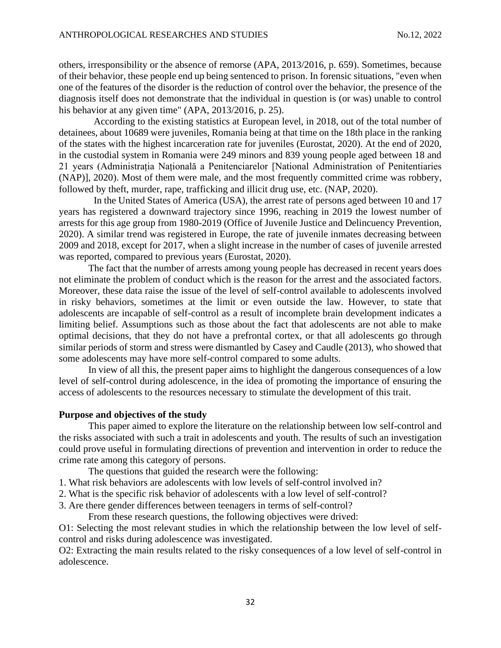others, irresponsibility or the absence of remorse (APA, 2013/2016, p. 659). Sometimes, because of their behavior, these people end up being sentenced to prison. In forensic situations, "even when one of the features of the disorder is the reduction of control over the behavior, the presence of the diagnosis itself does not demonstrate that the individual in question is (or was) unable to control his behavior at any given time" (APA, 2013/2016, p. 25).

According to the existing statistics at European level, in 2018, out of the total number of detainees, about 10689 were juveniles, Romania being at that time on the 18th place in the ranking of the states with the highest incarceration rate for juveniles (Eurostat, 2020). At the end of 2020, in the custodial system in Romania were 249 minors and 839 young people aged between 18 and 21 years (Administrația Națională a Penitenciarelor [National Administration of Penitentiaries (NAP)], 2020). Most of them were male, and the most frequently committed crime was robbery, followed by theft, murder, rape, trafficking and illicit drug use, etc. (NAP, 2020).

In the United States of America (USA), the arrest rate of persons aged between 10 and 17 years has registered a downward trajectory since 1996, reaching in 2019 the lowest number of arrests for this age group from 1980-2019 (Office of Juvenile Justice and Delincuency Prevention, 2020). A similar trend was registered in Europe, the rate of juvenile inmates decreasing between 2009 and 2018, except for 2017, when a slight increase in the number of cases of juvenile arrested was reported, compared to previous years (Eurostat, 2020).

The fact that the number of arrests among young people has decreased in recent years does not eliminate the problem of conduct which is the reason for the arrest and the associated factors. Moreover, these data raise the issue of the level of self-control available to adolescents involved in risky behaviors, sometimes at the limit or even outside the law. However, to state that adolescents are incapable of self-control as a result of incomplete brain development indicates a limiting belief. Assumptions such as those about the fact that adolescents are not able to make optimal decisions, that they do not have a prefrontal cortex, or that all adolescents go through similar periods of storm and stress were dismantled by Casey and Caudle (2013), who showed that some adolescents may have more self-control compared to some adults.

In view of all this, the present paper aims to highlight the dangerous consequences of a low level of self-control during adolescence, in the idea of promoting the importance of ensuring the access of adolescents to the resources necessary to stimulate the development of this trait.

#### **Purpose and objectives of the study**

This paper aimed to explore the literature on the relationship between low self-control and the risks associated with such a trait in adolescents and youth. The results of such an investigation could prove useful in formulating directions of prevention and intervention in order to reduce the crime rate among this category of persons.

The questions that guided the research were the following:

1. What risk behaviors are adolescents with low levels of self-control involved in?

2. What is the specific risk behavior of adolescents with a low level of self-control?

3. Are there gender differences between teenagers in terms of self-control?

From these research questions, the following objectives were drived:

O1: Selecting the most relevant studies in which the relationship between the low level of selfcontrol and risks during adolescence was investigated.

O2: Extracting the main results related to the risky consequences of a low level of self-control in adolescence.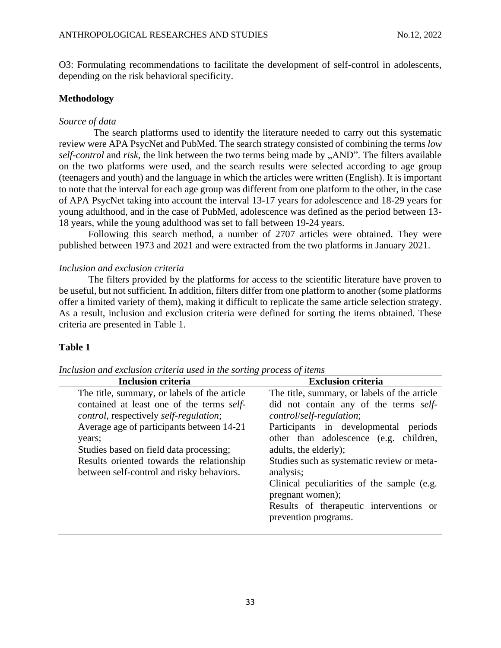O3: Formulating recommendations to facilitate the development of self-control in adolescents, depending on the risk behavioral specificity.

### **Methodology**

### *Source of data*

The search platforms used to identify the literature needed to carry out this systematic review were APA PsycNet and PubMed. The search strategy consisted of combining the terms *low self-control* and *risk*, the link between the two terms being made by "AND". The filters available on the two platforms were used, and the search results were selected according to age group (teenagers and youth) and the language in which the articles were written (English). It is important to note that the interval for each age group was different from one platform to the other, in the case of APA PsycNet taking into account the interval 13-17 years for adolescence and 18-29 years for young adulthood, and in the case of PubMed, adolescence was defined as the period between 13- 18 years, while the young adulthood was set to fall between 19-24 years.

Following this search method, a number of 2707 articles were obtained. They were published between 1973 and 2021 and were extracted from the two platforms in January 2021.

### *Inclusion and exclusion criteria*

The filters provided by the platforms for access to the scientific literature have proven to be useful, but not sufficient. In addition, filters differ from one platform to another (some platforms offer a limited variety of them), making it difficult to replicate the same article selection strategy. As a result, inclusion and exclusion criteria were defined for sorting the items obtained. These criteria are presented in Table 1.

## **Table 1**

| <b>Inclusion criteria</b>                                                                                                                                                                                                                                                                                                                       | <b>Exclusion criteria</b>                                                                                                                                                                                                                                                                                                                                                                                                       |
|-------------------------------------------------------------------------------------------------------------------------------------------------------------------------------------------------------------------------------------------------------------------------------------------------------------------------------------------------|---------------------------------------------------------------------------------------------------------------------------------------------------------------------------------------------------------------------------------------------------------------------------------------------------------------------------------------------------------------------------------------------------------------------------------|
| The title, summary, or labels of the article<br>contained at least one of the terms self-<br><i>control</i> , respectively <i>self-regulation</i> ;<br>Average age of participants between 14-21<br>years;<br>Studies based on field data processing;<br>Results oriented towards the relationship<br>between self-control and risky behaviors. | The title, summary, or labels of the article<br>did not contain any of the terms self-<br>control/self-regulation;<br>Participants in developmental periods<br>other than adolescence (e.g. children,<br>adults, the elderly);<br>Studies such as systematic review or meta-<br>analysis;<br>Clinical peculiarities of the sample (e.g.<br>pregnant women);<br>Results of the rapeutic interventions or<br>prevention programs. |
|                                                                                                                                                                                                                                                                                                                                                 |                                                                                                                                                                                                                                                                                                                                                                                                                                 |

*Inclusion and exclusion criteria used in the sorting process of items*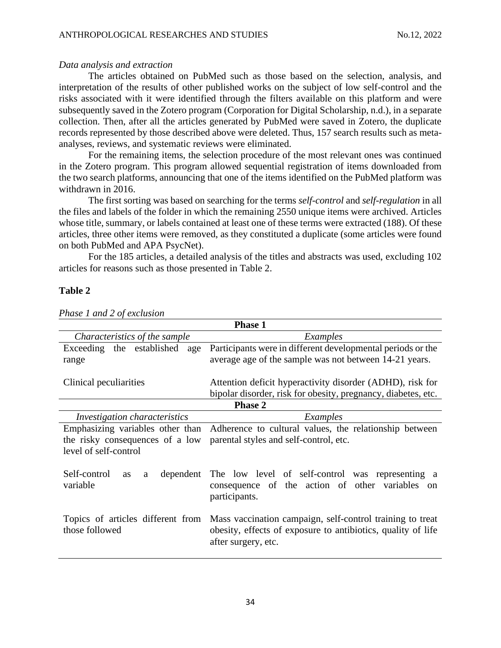### *Data analysis and extraction*

The articles obtained on PubMed such as those based on the selection, analysis, and interpretation of the results of other published works on the subject of low self-control and the risks associated with it were identified through the filters available on this platform and were subsequently saved in the Zotero program (Corporation for Digital Scholarship, n.d.), in a separate collection. Then, after all the articles generated by PubMed were saved in Zotero, the duplicate records represented by those described above were deleted. Thus, 157 search results such as metaanalyses, reviews, and systematic reviews were eliminated.

For the remaining items, the selection procedure of the most relevant ones was continued in the Zotero program. This program allowed sequential registration of items downloaded from the two search platforms, announcing that one of the items identified on the PubMed platform was withdrawn in 2016.

The first sorting was based on searching for the terms *self-control* and *self-regulation* in all the files and labels of the folder in which the remaining 2550 unique items were archived. Articles whose title, summary, or labels contained at least one of these terms were extracted (188). Of these articles, three other items were removed, as they constituted a duplicate (some articles were found on both PubMed and APA PsycNet).

For the 185 articles, a detailed analysis of the titles and abstracts was used, excluding 102 articles for reasons such as those presented in Table 2.

#### **Table 2**

| <b>Phase 1</b>                                                  |                                                                                                                                                  |  |  |  |  |
|-----------------------------------------------------------------|--------------------------------------------------------------------------------------------------------------------------------------------------|--|--|--|--|
| Characteristics of the sample                                   | Examples                                                                                                                                         |  |  |  |  |
| Exceeding the established<br>age                                | Participants were in different developmental periods or the                                                                                      |  |  |  |  |
| average age of the sample was not between 14-21 years.<br>range |                                                                                                                                                  |  |  |  |  |
| Clinical peculiarities                                          | Attention deficit hyperactivity disorder (ADHD), risk for                                                                                        |  |  |  |  |
|                                                                 | bipolar disorder, risk for obesity, pregnancy, diabetes, etc.                                                                                    |  |  |  |  |
|                                                                 | <b>Phase 2</b>                                                                                                                                   |  |  |  |  |
| <i>Investigation characteristics</i>                            | Examples                                                                                                                                         |  |  |  |  |
| Emphasizing variables other than                                | Adherence to cultural values, the relationship between                                                                                           |  |  |  |  |
| the risky consequences of a low                                 | parental styles and self-control, etc.                                                                                                           |  |  |  |  |
| level of self-control                                           |                                                                                                                                                  |  |  |  |  |
| Self-control<br><b>as</b><br>a<br>variable                      | dependent The low level of self-control was representing a<br>consequence of the action of other variables<br><sub>on</sub><br>participants.     |  |  |  |  |
| Topics of articles different from<br>those followed             | Mass vaccination campaign, self-control training to treat<br>obesity, effects of exposure to antibiotics, quality of life<br>after surgery, etc. |  |  |  |  |

*Phase 1 and 2 of exclusion*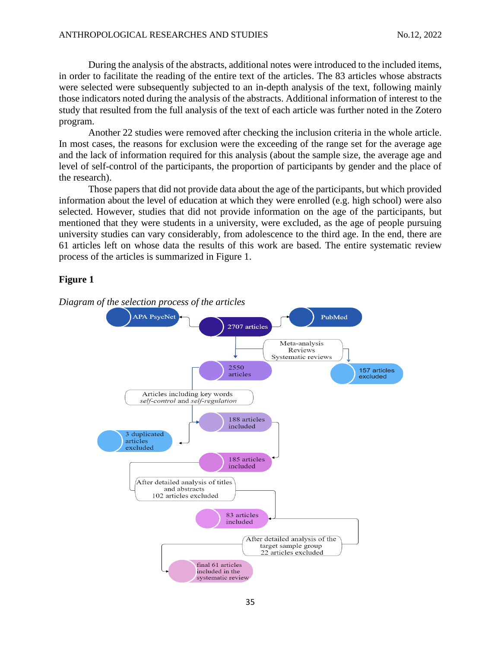During the analysis of the abstracts, additional notes were introduced to the included items, in order to facilitate the reading of the entire text of the articles. The 83 articles whose abstracts were selected were subsequently subjected to an in-depth analysis of the text, following mainly those indicators noted during the analysis of the abstracts. Additional information of interest to the study that resulted from the full analysis of the text of each article was further noted in the Zotero program.

Another 22 studies were removed after checking the inclusion criteria in the whole article. In most cases, the reasons for exclusion were the exceeding of the range set for the average age and the lack of information required for this analysis (about the sample size, the average age and level of self-control of the participants, the proportion of participants by gender and the place of the research).

Those papers that did not provide data about the age of the participants, but which provided information about the level of education at which they were enrolled (e.g. high school) were also selected. However, studies that did not provide information on the age of the participants, but mentioned that they were students in a university, were excluded, as the age of people pursuing university studies can vary considerably, from adolescence to the third age. In the end, there are 61 articles left on whose data the results of this work are based. The entire systematic review process of the articles is summarized in Figure 1.

### **Figure 1**

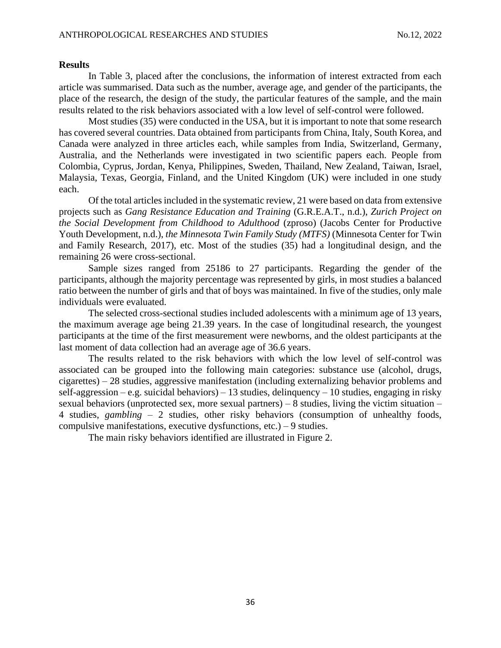#### **Results**

In Table 3, placed after the conclusions, the information of interest extracted from each article was summarised. Data such as the number, average age, and gender of the participants, the place of the research, the design of the study, the particular features of the sample, and the main results related to the risk behaviors associated with a low level of self-control were followed.

Most studies (35) were conducted in the USA, but it is important to note that some research has covered several countries. Data obtained from participants from China, Italy, South Korea, and Canada were analyzed in three articles each, while samples from India, Switzerland, Germany, Australia, and the Netherlands were investigated in two scientific papers each. People from Colombia, Cyprus, Jordan, Kenya, Philippines, Sweden, Thailand, New Zealand, Taiwan, Israel, Malaysia, Texas, Georgia, Finland, and the United Kingdom (UK) were included in one study each.

Of the total articles included in the systematic review, 21 were based on data from extensive projects such as *Gang Resistance Education and Training* (G.R.E.A.T., n.d.), *Zurich Project on the Social Development from Childhood to Adulthood* (zproso) (Jacobs Center for Productive Youth Development, n.d.), *the Minnesota Twin Family Study (MTFS)* (Minnesota Center for Twin and Family Research, 2017), etc. Most of the studies (35) had a longitudinal design, and the remaining 26 were cross-sectional.

Sample sizes ranged from 25186 to 27 participants. Regarding the gender of the participants, although the majority percentage was represented by girls, in most studies a balanced ratio between the number of girls and that of boys was maintained. In five of the studies, only male individuals were evaluated.

The selected cross-sectional studies included adolescents with a minimum age of 13 years, the maximum average age being 21.39 years. In the case of longitudinal research, the youngest participants at the time of the first measurement were newborns, and the oldest participants at the last moment of data collection had an average age of 36.6 years.

The results related to the risk behaviors with which the low level of self-control was associated can be grouped into the following main categories: substance use (alcohol, drugs, cigarettes) – 28 studies, aggressive manifestation (including externalizing behavior problems and self-aggression – e.g. suicidal behaviors) – 13 studies, delinquency – 10 studies, engaging in risky sexual behaviors (unprotected sex, more sexual partners) – 8 studies, living the victim situation – 4 studies, *gambling* – 2 studies, other risky behaviors (consumption of unhealthy foods, compulsive manifestations, executive dysfunctions, etc.) – 9 studies.

The main risky behaviors identified are illustrated in Figure 2.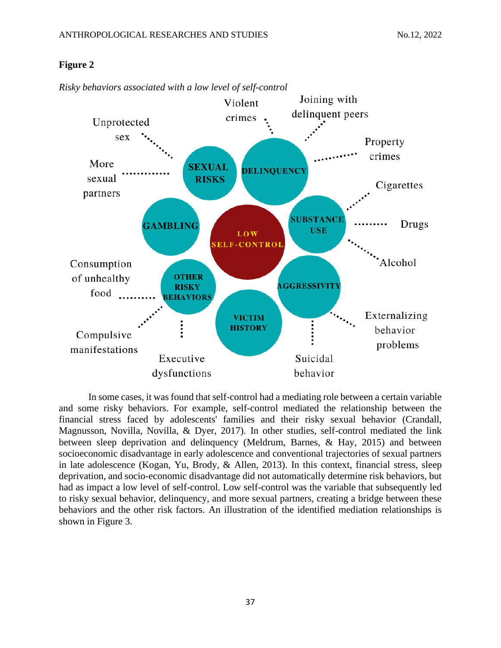#### Joining with Violent delinquent peers crimes Unprotected sex Property crimes More **SEXUAL DELINQUENCY** sexual **RISKS** Cigarettes partners **SUBSTANCI GAMBLING** Drugs **USE LOW F-CONTROI** Consumption Alcohol **OTHER** of unhealthy **RISKY AGGRESSIVIT** food **BEHAVIORS** Externalizing **VICTIM HISTORY** behavior Compulsive problems manifestations Executive Suicidal dysfunctions behavior

### **Figure 2**

*Risky behaviors associated with a low level of self-control*

In some cases, it was found that self-control had a mediating role between a certain variable and some risky behaviors. For example, self-control mediated the relationship between the financial stress faced by adolescents' families and their risky sexual behavior (Crandall, Magnusson, Novilla, Novilla, & Dyer, 2017). In other studies, self-control mediated the link between sleep deprivation and delinquency (Meldrum, Barnes, & Hay, 2015) and between socioeconomic disadvantage in early adolescence and conventional trajectories of sexual partners in late adolescence (Kogan, Yu, Brody, & Allen, 2013). In this context, financial stress, sleep deprivation, and socio-economic disadvantage did not automatically determine risk behaviors, but had as impact a low level of self-control. Low self-control was the variable that subsequently led to risky sexual behavior, delinquency, and more sexual partners, creating a bridge between these behaviors and the other risk factors. An illustration of the identified mediation relationships is shown in Figure 3.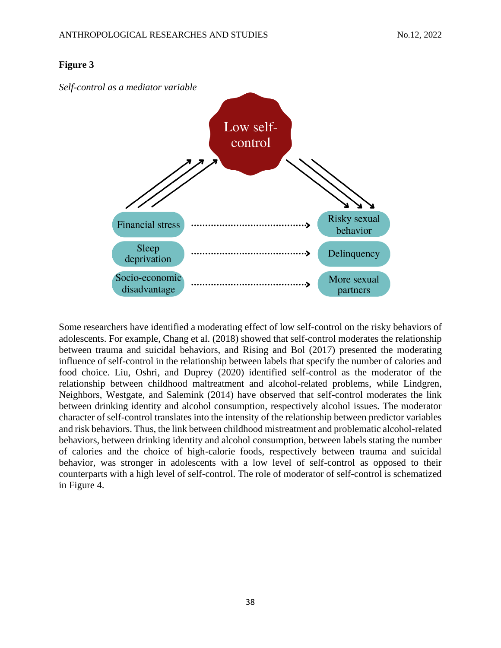### **Figure 3**



Some researchers have identified a moderating effect of low self-control on the risky behaviors of adolescents. For example, Chang et al. (2018) showed that self-control moderates the relationship between trauma and suicidal behaviors, and Rising and Bol (2017) presented the moderating influence of self-control in the relationship between labels that specify the number of calories and food choice. Liu, Oshri, and Duprey (2020) identified self-control as the moderator of the relationship between childhood maltreatment and alcohol-related problems, while Lindgren, Neighbors, Westgate, and Salemink (2014) have observed that self-control moderates the link between drinking identity and alcohol consumption, respectively alcohol issues. The moderator character of self-control translates into the intensity of the relationship between predictor variables and risk behaviors. Thus, the link between childhood mistreatment and problematic alcohol-related behaviors, between drinking identity and alcohol consumption, between labels stating the number of calories and the choice of high-calorie foods, respectively between trauma and suicidal behavior, was stronger in adolescents with a low level of self-control as opposed to their counterparts with a high level of self-control. The role of moderator of self-control is schematized in Figure 4.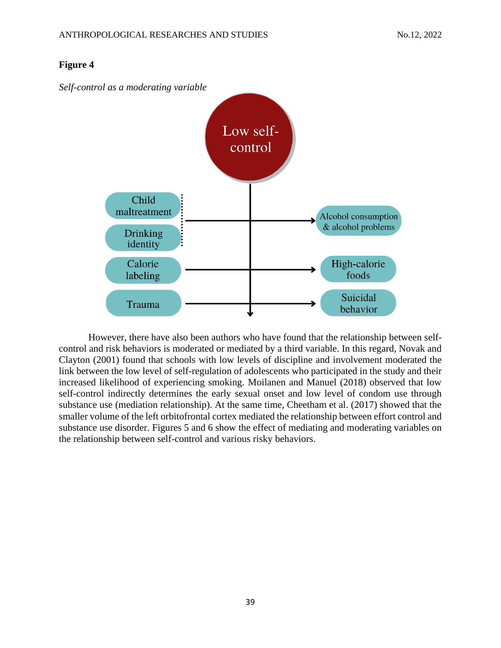# *Self-control as a moderating variable* Low selfcontrol Child maltreatment Alcohol consumption & alcohol problems Drinking identity High-calorie Calorie foods labeling Suicidal Trauma behavior

### **Figure 4**

However, there have also been authors who have found that the relationship between selfcontrol and risk behaviors is moderated or mediated by a third variable. In this regard, Novak and Clayton (2001) found that schools with low levels of discipline and involvement moderated the link between the low level of self-regulation of adolescents who participated in the study and their increased likelihood of experiencing smoking. Moilanen and Manuel (2018) observed that low self-control indirectly determines the early sexual onset and low level of condom use through substance use (mediation relationship). At the same time, Cheetham et al. (2017) showed that the smaller volume of the left orbitofrontal cortex mediated the relationship between effort control and substance use disorder. Figures 5 and 6 show the effect of mediating and moderating variables on the relationship between self-control and various risky behaviors.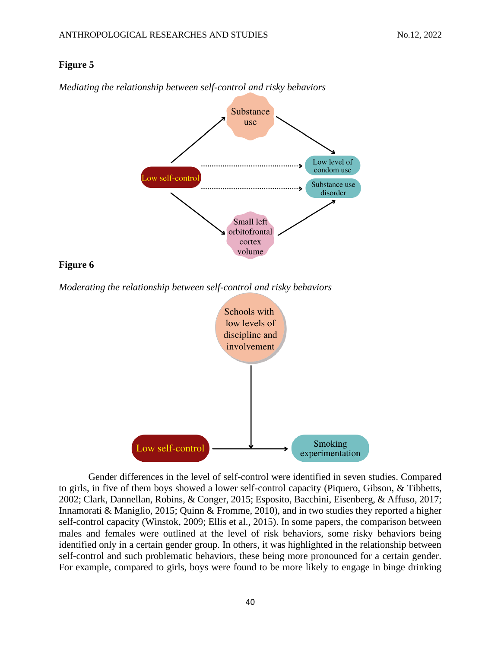### **Figure 5**



*Mediating the relationship between self-control and risky behaviors*

### **Figure 6**

*Moderating the relationship between self-control and risky behaviors*



Gender differences in the level of self-control were identified in seven studies. Compared to girls, in five of them boys showed a lower self-control capacity (Piquero, Gibson, & Tibbetts, 2002; Clark, Dannellan, Robins, & Conger, 2015; Esposito, Bacchini, Eisenberg, & Affuso, 2017; Innamorati & Maniglio, 2015; Quinn & Fromme, 2010), and in two studies they reported a higher self-control capacity (Winstok, 2009; Ellis et al., 2015). In some papers, the comparison between males and females were outlined at the level of risk behaviors, some risky behaviors being identified only in a certain gender group. In others, it was highlighted in the relationship between self-control and such problematic behaviors, these being more pronounced for a certain gender. For example, compared to girls, boys were found to be more likely to engage in binge drinking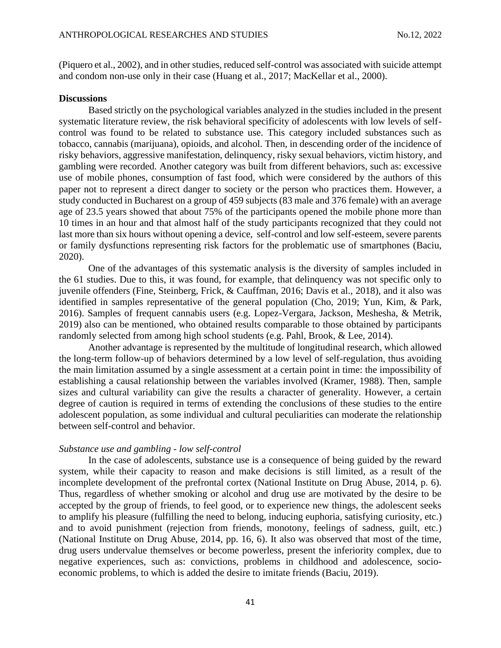(Piquero et al., 2002), and in other studies, reduced self-control was associated with suicide attempt and condom non-use only in their case (Huang et al., 2017; MacKellar et al., 2000).

#### **Discussions**

Based strictly on the psychological variables analyzed in the studies included in the present systematic literature review, the risk behavioral specificity of adolescents with low levels of selfcontrol was found to be related to substance use. This category included substances such as tobacco, cannabis (marijuana), opioids, and alcohol. Then, in descending order of the incidence of risky behaviors, aggressive manifestation, delinquency, risky sexual behaviors, victim history, and gambling were recorded. Another category was built from different behaviors, such as: excessive use of mobile phones, consumption of fast food, which were considered by the authors of this paper not to represent a direct danger to society or the person who practices them. However, a study conducted in Bucharest on a group of 459 subjects (83 male and 376 female) with an average age of 23.5 years showed that about 75% of the participants opened the mobile phone more than 10 times in an hour and that almost half of the study participants recognized that they could not last more than six hours without opening a device, self-control and low self-esteem, severe parents or family dysfunctions representing risk factors for the problematic use of smartphones (Baciu, 2020).

One of the advantages of this systematic analysis is the diversity of samples included in the 61 studies. Due to this, it was found, for example, that delinquency was not specific only to juvenile offenders (Fine, Steinberg, Frick, & Cauffman, 2016; Davis et al., 2018), and it also was identified in samples representative of the general population (Cho, 2019; Yun, Kim, & Park, 2016). Samples of frequent cannabis users (e.g. Lopez-Vergara, Jackson, Meshesha, & Metrik, 2019) also can be mentioned, who obtained results comparable to those obtained by participants randomly selected from among high school students (e.g. Pahl, Brook, & Lee, 2014).

Another advantage is represented by the multitude of longitudinal research, which allowed the long-term follow-up of behaviors determined by a low level of self-regulation, thus avoiding the main limitation assumed by a single assessment at a certain point in time: the impossibility of establishing a causal relationship between the variables involved (Kramer, 1988). Then, sample sizes and cultural variability can give the results a character of generality. However, a certain degree of caution is required in terms of extending the conclusions of these studies to the entire adolescent population, as some individual and cultural peculiarities can moderate the relationship between self-control and behavior.

#### *Substance use and gambling - low self-control*

In the case of adolescents, substance use is a consequence of being guided by the reward system, while their capacity to reason and make decisions is still limited, as a result of the incomplete development of the prefrontal cortex (National Institute on Drug Abuse, 2014, p. 6). Thus, regardless of whether smoking or alcohol and drug use are motivated by the desire to be accepted by the group of friends, to feel good, or to experience new things, the adolescent seeks to amplify his pleasure (fulfilling the need to belong, inducing euphoria, satisfying curiosity, etc.) and to avoid punishment (rejection from friends, monotony, feelings of sadness, guilt, etc.) (National Institute on Drug Abuse, 2014, pp. 16, 6). It also was observed that most of the time, drug users undervalue themselves or become powerless, present the inferiority complex, due to negative experiences, such as: convictions, problems in childhood and adolescence, socioeconomic problems, to which is added the desire to imitate friends (Baciu, 2019).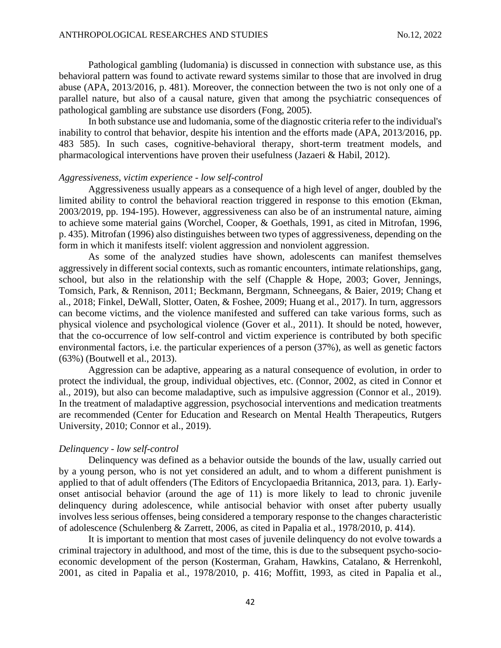Pathological gambling (ludomania) is discussed in connection with substance use, as this behavioral pattern was found to activate reward systems similar to those that are involved in drug abuse (APA, 2013/2016, p. 481). Moreover, the connection between the two is not only one of a parallel nature, but also of a causal nature, given that among the psychiatric consequences of pathological gambling are substance use disorders (Fong, 2005).

In both substance use and ludomania, some of the diagnostic criteria refer to the individual's inability to control that behavior, despite his intention and the efforts made (APA, 2013/2016, pp. 483 585). In such cases, cognitive-behavioral therapy, short-term treatment models, and pharmacological interventions have proven their usefulness (Jazaeri & Habil, 2012).

#### *Aggressiveness, victim experience - low self-control*

Aggressiveness usually appears as a consequence of a high level of anger, doubled by the limited ability to control the behavioral reaction triggered in response to this emotion (Ekman, 2003/2019, pp. 194-195). However, aggressiveness can also be of an instrumental nature, aiming to achieve some material gains (Worchel, Cooper, & Goethals, 1991, as cited in Mitrofan, 1996, p. 435). Mitrofan (1996) also distinguishes between two types of aggressiveness, depending on the form in which it manifests itself: violent aggression and nonviolent aggression.

As some of the analyzed studies have shown, adolescents can manifest themselves aggressively in different social contexts, such as romantic encounters, intimate relationships, gang, school, but also in the relationship with the self (Chapple & Hope, 2003; Gover, Jennings, Tomsich, Park, & Rennison, 2011; Beckmann, Bergmann, Schneegans, & Baier, 2019; Chang et al., 2018; Finkel, DeWall, Slotter, Oaten, & Foshee, 2009; Huang et al., 2017). In turn, aggressors can become victims, and the violence manifested and suffered can take various forms, such as physical violence and psychological violence (Gover et al., 2011). It should be noted, however, that the co-occurrence of low self-control and victim experience is contributed by both specific environmental factors, i.e. the particular experiences of a person (37%), as well as genetic factors (63%) (Boutwell et al., 2013).

Aggression can be adaptive, appearing as a natural consequence of evolution, in order to protect the individual, the group, individual objectives, etc. (Connor, 2002, as cited in Connor et al., 2019), but also can become maladaptive, such as impulsive aggression (Connor et al., 2019). In the treatment of maladaptive aggression, psychosocial interventions and medication treatments are recommended (Center for Education and Research on Mental Health Therapeutics, Rutgers University, 2010; Connor et al., 2019).

#### *Delinquency - low self-control*

Delinquency was defined as a behavior outside the bounds of the law, usually carried out by a young person, who is not yet considered an adult, and to whom a different punishment is applied to that of adult offenders (The Editors of Encyclopaedia Britannica, 2013, para. 1). Earlyonset antisocial behavior (around the age of 11) is more likely to lead to chronic juvenile delinquency during adolescence, while antisocial behavior with onset after puberty usually involves less serious offenses, being considered a temporary response to the changes characteristic of adolescence (Schulenberg & Zarrett, 2006, as cited in Papalia et al., 1978/2010, p. 414).

It is important to mention that most cases of juvenile delinquency do not evolve towards a criminal trajectory in adulthood, and most of the time, this is due to the subsequent psycho-socioeconomic development of the person (Kosterman, Graham, Hawkins, Catalano, & Herrenkohl, 2001, as cited in Papalia et al., 1978/2010, p. 416; Moffitt, 1993, as cited in Papalia et al.,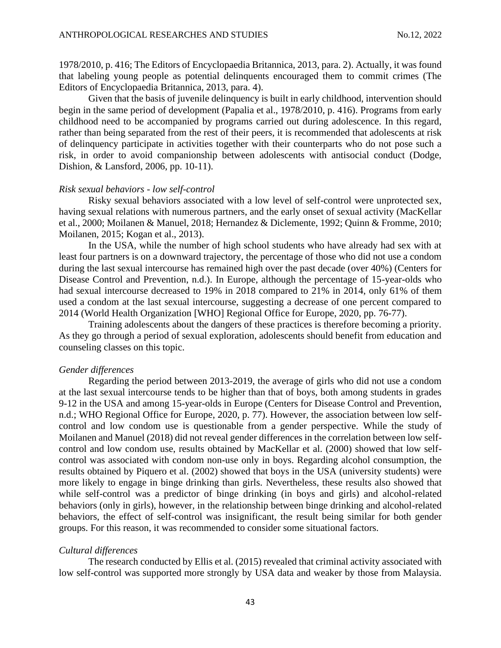1978/2010, p. 416; The Editors of Encyclopaedia Britannica, 2013, para. 2). Actually, it was found that labeling young people as potential delinquents encouraged them to commit crimes (The Editors of Encyclopaedia Britannica, 2013, para. 4).

Given that the basis of juvenile delinquency is built in early childhood, intervention should begin in the same period of development (Papalia et al., 1978/2010, p. 416). Programs from early childhood need to be accompanied by programs carried out during adolescence. In this regard, rather than being separated from the rest of their peers, it is recommended that adolescents at risk of delinquency participate in activities together with their counterparts who do not pose such a risk, in order to avoid companionship between adolescents with antisocial conduct (Dodge, Dishion, & Lansford, 2006, pp. 10-11).

### *Risk sexual behaviors - low self-control*

Risky sexual behaviors associated with a low level of self-control were unprotected sex, having sexual relations with numerous partners, and the early onset of sexual activity (MacKellar et al., 2000; Moilanen & Manuel, 2018; Hernandez & Diclemente, 1992; Quinn & Fromme, 2010; Moilanen, 2015; Kogan et al., 2013).

In the USA, while the number of high school students who have already had sex with at least four partners is on a downward trajectory, the percentage of those who did not use a condom during the last sexual intercourse has remained high over the past decade (over 40%) (Centers for Disease Control and Prevention, n.d.). In Europe, although the percentage of 15-year-olds who had sexual intercourse decreased to 19% in 2018 compared to 21% in 2014, only 61% of them used a condom at the last sexual intercourse, suggesting a decrease of one percent compared to 2014 (World Health Organization [WHO] Regional Office for Europe, 2020, pp. 76-77).

Training adolescents about the dangers of these practices is therefore becoming a priority. As they go through a period of sexual exploration, adolescents should benefit from education and counseling classes on this topic.

#### *Gender differences*

Regarding the period between 2013-2019, the average of girls who did not use a condom at the last sexual intercourse tends to be higher than that of boys, both among students in grades 9-12 in the USA and among 15-year-olds in Europe (Centers for Disease Control and Prevention, n.d.; WHO Regional Office for Europe, 2020, p. 77). However, the association between low selfcontrol and low condom use is questionable from a gender perspective. While the study of Moilanen and Manuel (2018) did not reveal gender differences in the correlation between low selfcontrol and low condom use, results obtained by MacKellar et al. (2000) showed that low selfcontrol was associated with condom non-use only in boys. Regarding alcohol consumption, the results obtained by Piquero et al. (2002) showed that boys in the USA (university students) were more likely to engage in binge drinking than girls. Nevertheless, these results also showed that while self-control was a predictor of binge drinking (in boys and girls) and alcohol-related behaviors (only in girls), however, in the relationship between binge drinking and alcohol-related behaviors, the effect of self-control was insignificant, the result being similar for both gender groups. For this reason, it was recommended to consider some situational factors.

#### *Cultural differences*

The research conducted by Ellis et al. (2015) revealed that criminal activity associated with low self-control was supported more strongly by USA data and weaker by those from Malaysia.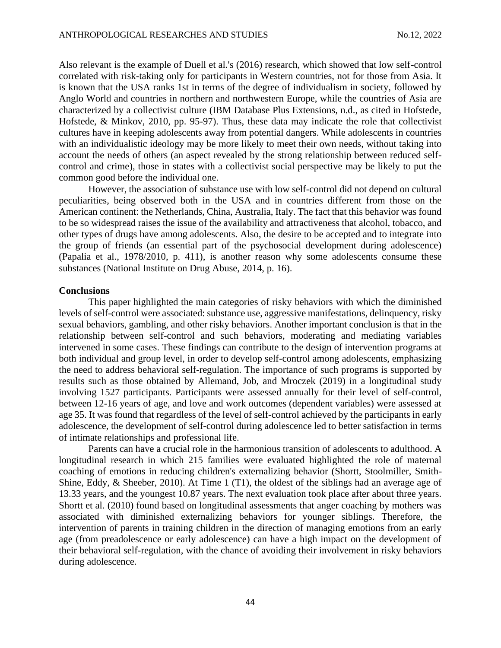Also relevant is the example of Duell et al.'s (2016) research, which showed that low self-control correlated with risk-taking only for participants in Western countries, not for those from Asia. It is known that the USA ranks 1st in terms of the degree of individualism in society, followed by Anglo World and countries in northern and northwestern Europe, while the countries of Asia are characterized by a collectivist culture (IBM Database Plus Extensions, n.d., as cited in Hofstede, Hofstede, & Minkov, 2010, pp. 95-97). Thus, these data may indicate the role that collectivist cultures have in keeping adolescents away from potential dangers. While adolescents in countries with an individualistic ideology may be more likely to meet their own needs, without taking into account the needs of others (an aspect revealed by the strong relationship between reduced selfcontrol and crime), those in states with a collectivist social perspective may be likely to put the common good before the individual one.

However, the association of substance use with low self-control did not depend on cultural peculiarities, being observed both in the USA and in countries different from those on the American continent: the Netherlands, China, Australia, Italy. The fact that this behavior was found to be so widespread raises the issue of the availability and attractiveness that alcohol, tobacco, and other types of drugs have among adolescents. Also, the desire to be accepted and to integrate into the group of friends (an essential part of the psychosocial development during adolescence) (Papalia et al., 1978/2010, p. 411), is another reason why some adolescents consume these substances (National Institute on Drug Abuse, 2014, p. 16).

#### **Conclusions**

This paper highlighted the main categories of risky behaviors with which the diminished levels of self-control were associated: substance use, aggressive manifestations, delinquency, risky sexual behaviors, gambling, and other risky behaviors. Another important conclusion is that in the relationship between self-control and such behaviors, moderating and mediating variables intervened in some cases. These findings can contribute to the design of intervention programs at both individual and group level, in order to develop self-control among adolescents, emphasizing the need to address behavioral self-regulation. The importance of such programs is supported by results such as those obtained by Allemand, Job, and Mroczek (2019) in a longitudinal study involving 1527 participants. Participants were assessed annually for their level of self-control, between 12-16 years of age, and love and work outcomes (dependent variables) were assessed at age 35. It was found that regardless of the level of self-control achieved by the participants in early adolescence, the development of self-control during adolescence led to better satisfaction in terms of intimate relationships and professional life.

Parents can have a crucial role in the harmonious transition of adolescents to adulthood. A longitudinal research in which 215 families were evaluated highlighted the role of maternal coaching of emotions in reducing children's externalizing behavior (Shortt, Stoolmiller, Smith-Shine, Eddy, & Sheeber, 2010). At Time 1 (T1), the oldest of the siblings had an average age of 13.33 years, and the youngest 10.87 years. The next evaluation took place after about three years. Shortt et al. (2010) found based on longitudinal assessments that anger coaching by mothers was associated with diminished externalizing behaviors for younger siblings. Therefore, the intervention of parents in training children in the direction of managing emotions from an early age (from preadolescence or early adolescence) can have a high impact on the development of their behavioral self-regulation, with the chance of avoiding their involvement in risky behaviors during adolescence.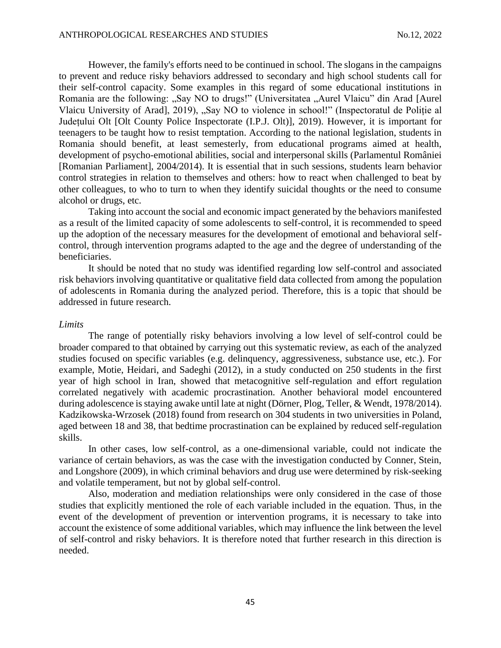However, the family's efforts need to be continued in school. The slogans in the campaigns to prevent and reduce risky behaviors addressed to secondary and high school students call for their self-control capacity. Some examples in this regard of some educational institutions in Romania are the following: "Say NO to drugs!" (Universitatea "Aurel Vlaicu" din Arad [Aurel Vlaicu University of Arad], 2019), "Say NO to violence in school!" (Inspectoratul de Politie al Județului Olt [Olt County Police Inspectorate (I.P.J. Olt)], 2019). However, it is important for teenagers to be taught how to resist temptation. According to the national legislation, students in Romania should benefit, at least semesterly, from educational programs aimed at health, development of psycho-emotional abilities, social and interpersonal skills (Parlamentul României [Romanian Parliament], 2004/2014). It is essential that in such sessions, students learn behavior control strategies in relation to themselves and others: how to react when challenged to beat by other colleagues, to who to turn to when they identify suicidal thoughts or the need to consume alcohol or drugs, etc.

Taking into account the social and economic impact generated by the behaviors manifested as a result of the limited capacity of some adolescents to self-control, it is recommended to speed up the adoption of the necessary measures for the development of emotional and behavioral selfcontrol, through intervention programs adapted to the age and the degree of understanding of the beneficiaries.

It should be noted that no study was identified regarding low self-control and associated risk behaviors involving quantitative or qualitative field data collected from among the population of adolescents in Romania during the analyzed period. Therefore, this is a topic that should be addressed in future research.

#### *Limits*

The range of potentially risky behaviors involving a low level of self-control could be broader compared to that obtained by carrying out this systematic review, as each of the analyzed studies focused on specific variables (e.g. delinquency, aggressiveness, substance use, etc.). For example, Motie, Heidari, and Sadeghi (2012), in a study conducted on 250 students in the first year of high school in Iran, showed that metacognitive self-regulation and effort regulation correlated negatively with academic procrastination. Another behavioral model encountered during adolescence is staying awake until late at night (Dörner, Plog, Teller, & Wendt, 1978/2014). Kadzikowska-Wrzosek (2018) found from research on 304 students in two universities in Poland, aged between 18 and 38, that bedtime procrastination can be explained by reduced self-regulation skills.

In other cases, low self-control, as a one-dimensional variable, could not indicate the variance of certain behaviors, as was the case with the investigation conducted by Conner, Stein, and Longshore (2009), in which criminal behaviors and drug use were determined by risk-seeking and volatile temperament, but not by global self-control.

Also, moderation and mediation relationships were only considered in the case of those studies that explicitly mentioned the role of each variable included in the equation. Thus, in the event of the development of prevention or intervention programs, it is necessary to take into account the existence of some additional variables, which may influence the link between the level of self-control and risky behaviors. It is therefore noted that further research in this direction is needed.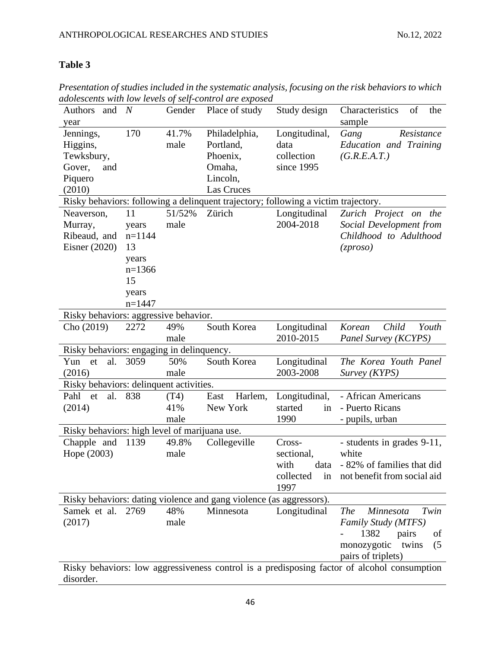## **Table 3**

*Presentation of studies included in the systematic analysis, focusing on the risk behaviors to which adolescents with low levels of self-control are exposed*

| Authors<br>and                                | N        | Gender | Place of study                                                                     | Study design          | Characteristics<br>the<br>of                                                                |
|-----------------------------------------------|----------|--------|------------------------------------------------------------------------------------|-----------------------|---------------------------------------------------------------------------------------------|
| year<br>Jennings,                             | 170      | 41.7%  |                                                                                    |                       | sample                                                                                      |
|                                               |          | male   | Philadelphia,<br>Portland,                                                         | Longitudinal,<br>data | Gang<br>Resistance<br>Education and Training                                                |
| Higgins,                                      |          |        |                                                                                    |                       |                                                                                             |
| Tewksbury,                                    |          |        | Phoenix,                                                                           | collection            | (G.R.E.A.T.)                                                                                |
| Gover,<br>and                                 |          |        | Omaha,                                                                             | since 1995            |                                                                                             |
| Piquero                                       |          |        | Lincoln,                                                                           |                       |                                                                                             |
| (2010)                                        |          |        | Las Cruces                                                                         |                       |                                                                                             |
|                                               |          |        | Risky behaviors: following a delinquent trajectory; following a victim trajectory. |                       |                                                                                             |
| Neaverson,                                    | 11       | 51/52% | Zürich                                                                             | Longitudinal          | Zurich Project on<br>the                                                                    |
| Murray,                                       | years    | male   |                                                                                    | 2004-2018             | Social Development from                                                                     |
| Ribeaud, and                                  | $n=1144$ |        |                                                                                    |                       | Childhood to Adulthood                                                                      |
| Eisner $(2020)$                               | 13       |        |                                                                                    |                       | (zproso)                                                                                    |
|                                               | years    |        |                                                                                    |                       |                                                                                             |
|                                               | $n=1366$ |        |                                                                                    |                       |                                                                                             |
|                                               | 15       |        |                                                                                    |                       |                                                                                             |
|                                               | years    |        |                                                                                    |                       |                                                                                             |
|                                               | $n=1447$ |        |                                                                                    |                       |                                                                                             |
| Risky behaviors: aggressive behavior.         |          |        |                                                                                    |                       |                                                                                             |
| Cho (2019)                                    | 2272     | 49%    | South Korea                                                                        | Longitudinal          | Child<br>Youth<br>Korean                                                                    |
|                                               |          | male   |                                                                                    | 2010-2015             | Panel Survey (KCYPS)                                                                        |
| Risky behaviors: engaging in delinquency.     |          |        |                                                                                    |                       |                                                                                             |
| al.<br>Yun<br>et                              | 3059     | 50%    | South Korea                                                                        | Longitudinal          | The Korea Youth Panel                                                                       |
| (2016)                                        |          | male   |                                                                                    | 2003-2008             | Survey (KYPS)                                                                               |
| Risky behaviors: delinquent activities.       |          |        |                                                                                    |                       |                                                                                             |
| Pahl<br>al.<br>et                             | 838      | (T4)   | Harlem,<br>East                                                                    | Longitudinal,         | - African Americans                                                                         |
| (2014)                                        |          | 41%    | New York                                                                           | started<br>in         | - Puerto Ricans                                                                             |
|                                               |          | male   |                                                                                    | 1990                  | - pupils, urban                                                                             |
| Risky behaviors: high level of marijuana use. |          |        |                                                                                    |                       |                                                                                             |
| Chapple and                                   | 1139     | 49.8%  | Collegeville                                                                       | Cross-                | - students in grades 9-11,                                                                  |
| Hope (2003)                                   |          | male   |                                                                                    | sectional,            | white                                                                                       |
|                                               |          |        |                                                                                    | with<br>data          | - 82% of families that did                                                                  |
|                                               |          |        |                                                                                    | collected<br>in       | not benefit from social aid                                                                 |
|                                               |          |        |                                                                                    | 1997                  |                                                                                             |
|                                               |          |        | Risky behaviors: dating violence and gang violence (as aggressors).                |                       |                                                                                             |
| Samek et al.                                  | 2769     | 48%    | Minnesota                                                                          | Longitudinal          | <b>The</b><br>Minnesota<br>Twin                                                             |
| (2017)                                        |          | male   |                                                                                    |                       | Family Study (MTFS)                                                                         |
|                                               |          |        |                                                                                    |                       | 1382<br>pairs<br>of                                                                         |
|                                               |          |        |                                                                                    |                       | monozygotic<br>twins<br>(5)                                                                 |
|                                               |          |        |                                                                                    |                       | pairs of triplets)                                                                          |
|                                               |          |        |                                                                                    |                       | Risky behaviors: low aggressiveness control is a predisposing factor of alcohol consumption |
| disorder.                                     |          |        |                                                                                    |                       |                                                                                             |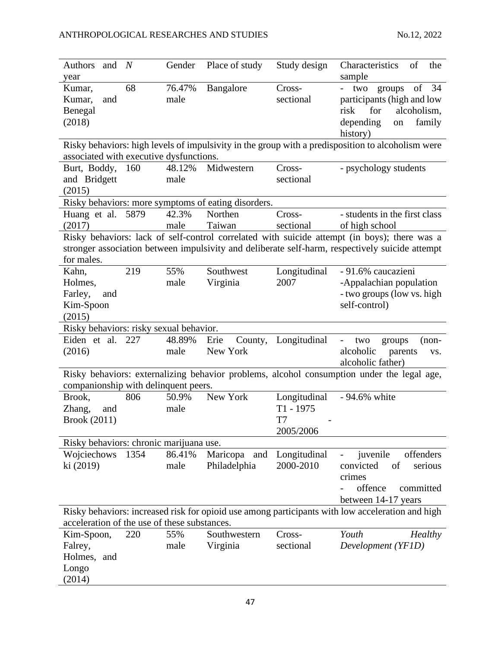| and<br>Authors                               | N    | Gender | Place of study                                      | Study design | Characteristics<br>of<br>the                                                                      |
|----------------------------------------------|------|--------|-----------------------------------------------------|--------------|---------------------------------------------------------------------------------------------------|
| year                                         |      |        |                                                     |              | sample                                                                                            |
| Kumar,                                       | 68   | 76.47% | Bangalore                                           | Cross-       | of $34$<br>groups<br>two                                                                          |
| Kumar,<br>and                                |      | male   |                                                     | sectional    | participants (high and low                                                                        |
| Benegal                                      |      |        |                                                     |              | alcoholism,<br>risk<br>for                                                                        |
| (2018)                                       |      |        |                                                     |              | depending<br>family<br>on                                                                         |
|                                              |      |        |                                                     |              | history)                                                                                          |
|                                              |      |        |                                                     |              | Risky behaviors: high levels of impulsivity in the group with a predisposition to alcoholism were |
| associated with executive dysfunctions.      |      |        |                                                     |              |                                                                                                   |
| Burt, Boddy,                                 | 160  | 48.12% | Midwestern                                          | Cross-       | - psychology students                                                                             |
| and Bridgett                                 |      | male   |                                                     | sectional    |                                                                                                   |
| (2015)                                       |      |        |                                                     |              |                                                                                                   |
|                                              |      |        | Risky behaviors: more symptoms of eating disorders. |              |                                                                                                   |
| Huang et al. 5879                            |      | 42.3%  | Northen                                             | Cross-       | - students in the first class                                                                     |
| (2017)                                       |      | male   | Taiwan                                              | sectional    | of high school                                                                                    |
|                                              |      |        |                                                     |              | Risky behaviors: lack of self-control correlated with suicide attempt (in boys); there was a      |
|                                              |      |        |                                                     |              | stronger association between impulsivity and deliberate self-harm, respectively suicide attempt   |
| for males.                                   |      |        |                                                     |              |                                                                                                   |
| Kahn,                                        | 219  | 55%    | Southwest                                           | Longitudinal | - 91.6% caucazieni                                                                                |
| Holmes,                                      |      | male   | Virginia                                            | 2007         | -Appalachian population                                                                           |
| Farley,<br>and                               |      |        |                                                     |              | - two groups (low vs. high                                                                        |
| Kim-Spoon                                    |      |        |                                                     |              | self-control)                                                                                     |
|                                              |      |        |                                                     |              |                                                                                                   |
| (2015)                                       |      |        |                                                     |              |                                                                                                   |
| Risky behaviors: risky sexual behavior.      |      |        |                                                     |              |                                                                                                   |
|                                              |      |        |                                                     |              |                                                                                                   |
| Eiden et al.                                 | 227  | 48.89% | Erie<br>County,                                     | Longitudinal | two<br>groups<br>$(non-$<br>$\overline{\phantom{0}}$                                              |
| (2016)                                       |      | male   | New York                                            |              | alcoholic<br>parents<br>VS.                                                                       |
|                                              |      |        |                                                     |              | alcoholic father)                                                                                 |
|                                              |      |        |                                                     |              | Risky behaviors: externalizing behavior problems, alcohol consumption under the legal age,        |
| companionship with delinquent peers.         |      |        |                                                     |              |                                                                                                   |
| Brook,                                       | 806  | 50.9%  | New York                                            | Longitudinal | - 94.6% white                                                                                     |
| Zhang,<br>and                                |      | male   |                                                     | $T1 - 1975$  |                                                                                                   |
| <b>Brook</b> (2011)                          |      |        |                                                     | T7           |                                                                                                   |
|                                              |      |        |                                                     | 2005/2006    |                                                                                                   |
| Risky behaviors: chronic marijuana use.      |      |        |                                                     |              |                                                                                                   |
|                                              | 1354 | 86.41% | and                                                 | Longitudinal | offenders                                                                                         |
| Wojciechows                                  |      |        | Maricopa                                            | 2000-2010    | juvenile                                                                                          |
| ki (2019)                                    |      | male   | Philadelphia                                        |              | of<br>convicted<br>serious                                                                        |
|                                              |      |        |                                                     |              | crimes                                                                                            |
|                                              |      |        |                                                     |              | offence<br>committed                                                                              |
|                                              |      |        |                                                     |              | between 14-17 years                                                                               |
|                                              |      |        |                                                     |              | Risky behaviors: increased risk for opioid use among participants with low acceleration and high  |
| acceleration of the use of these substances. |      |        |                                                     |              |                                                                                                   |
| Kim-Spoon,                                   | 220  | 55%    | Southwestern                                        | Cross-       | Youth<br><b>Healthy</b>                                                                           |
| Falrey,                                      |      | male   | Virginia                                            | sectional    | Development (YF1D)                                                                                |
| Holmes, and                                  |      |        |                                                     |              |                                                                                                   |
| Longo<br>(2014)                              |      |        |                                                     |              |                                                                                                   |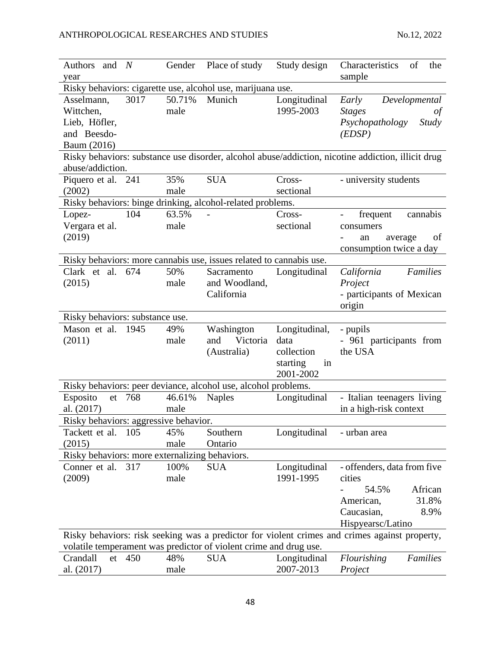| Authors<br>and $N$                             |        | Gender | Place of study                                                      | Study design   | Characteristics<br>of<br>the                                                                       |
|------------------------------------------------|--------|--------|---------------------------------------------------------------------|----------------|----------------------------------------------------------------------------------------------------|
| year                                           |        |        |                                                                     |                | sample                                                                                             |
|                                                |        |        | Risky behaviors: cigarette use, alcohol use, marijuana use.         |                |                                                                                                    |
| Asselmann,                                     | 3017   | 50.71% | Munich                                                              | Longitudinal   | Developmental<br>Early                                                                             |
| Wittchen,                                      |        | male   |                                                                     | 1995-2003      | <b>Stages</b><br>of                                                                                |
| Lieb, Höfler,                                  |        |        |                                                                     |                | Psychopathology<br><i>Study</i>                                                                    |
| and Beesdo-                                    |        |        |                                                                     |                | (EDSP)                                                                                             |
| Baum (2016)                                    |        |        |                                                                     |                |                                                                                                    |
| abuse/addiction.                               |        |        |                                                                     |                | Risky behaviors: substance use disorder, alcohol abuse/addiction, nicotine addiction, illicit drug |
| Piquero et al. 241                             |        | 35%    | <b>SUA</b>                                                          | Cross-         | - university students                                                                              |
| (2002)                                         |        | male   |                                                                     | sectional      |                                                                                                    |
|                                                |        |        | Risky behaviors: binge drinking, alcohol-related problems.          |                |                                                                                                    |
| Lopez-                                         | 104    | 63.5%  |                                                                     | Cross-         | frequent<br>cannabis                                                                               |
| Vergara et al.                                 |        | male   |                                                                     | sectional      | consumers                                                                                          |
| (2019)                                         |        |        |                                                                     |                | average<br>of<br>an                                                                                |
|                                                |        |        |                                                                     |                | consumption twice a day                                                                            |
|                                                |        |        | Risky behaviors: more cannabis use, issues related to cannabis use. |                |                                                                                                    |
| Clark et al.                                   | 674    | 50%    | Sacramento                                                          | Longitudinal   | California<br><b>Families</b>                                                                      |
| (2015)                                         |        | male   | and Woodland,                                                       |                | Project                                                                                            |
|                                                |        |        | California                                                          |                | - participants of Mexican                                                                          |
|                                                |        |        |                                                                     |                | origin                                                                                             |
| Risky behaviors: substance use.                |        |        |                                                                     |                |                                                                                                    |
| Mason et al. 1945                              |        | 49%    | Washington                                                          | Longitudinal,  | - pupils                                                                                           |
| (2011)                                         |        | male   | Victoria<br>and                                                     | data           | - 961 participants from                                                                            |
|                                                |        |        | (Australia)                                                         | collection     | the USA                                                                                            |
|                                                |        |        |                                                                     | starting<br>in |                                                                                                    |
|                                                |        |        |                                                                     | 2001-2002      |                                                                                                    |
|                                                |        |        | Risky behaviors: peer deviance, alcohol use, alcohol problems.      |                |                                                                                                    |
| Esposito                                       | et 768 | 46.61% | <b>Naples</b>                                                       | Longitudinal   | - Italian teenagers living                                                                         |
| al. (2017)                                     |        | male   |                                                                     |                | in a high-risk context                                                                             |
| Risky behaviors: aggressive behavior.          |        |        |                                                                     |                |                                                                                                    |
| Tackett et al.                                 | 105    | 45%    | Southern                                                            | Longitudinal   | - urban area                                                                                       |
| (2015)                                         |        | male   | Ontario                                                             |                |                                                                                                    |
| Risky behaviors: more externalizing behaviors. |        |        |                                                                     |                |                                                                                                    |
| Conner et al.                                  | 317    | 100%   | <b>SUA</b>                                                          | Longitudinal   | - offenders, data from five                                                                        |
| (2009)                                         |        | male   |                                                                     | 1991-1995      | cities                                                                                             |
|                                                |        |        |                                                                     |                | African<br>54.5%                                                                                   |
|                                                |        |        |                                                                     |                | 31.8%<br>American,                                                                                 |
|                                                |        |        |                                                                     |                | Caucasian,<br>8.9%                                                                                 |
|                                                |        |        |                                                                     |                | Hispyearsc/Latino                                                                                  |
|                                                |        |        |                                                                     |                | Risky behaviors: risk seeking was a predictor for violent crimes and crimes against property,      |
|                                                |        |        | volatile temperament was predictor of violent crime and drug use.   |                |                                                                                                    |
| Crandall                                       | et 450 | 48%    | <b>SUA</b>                                                          | Longitudinal   | Families<br>Flourishing                                                                            |
| al. (2017)                                     |        | male   |                                                                     | 2007-2013      | Project                                                                                            |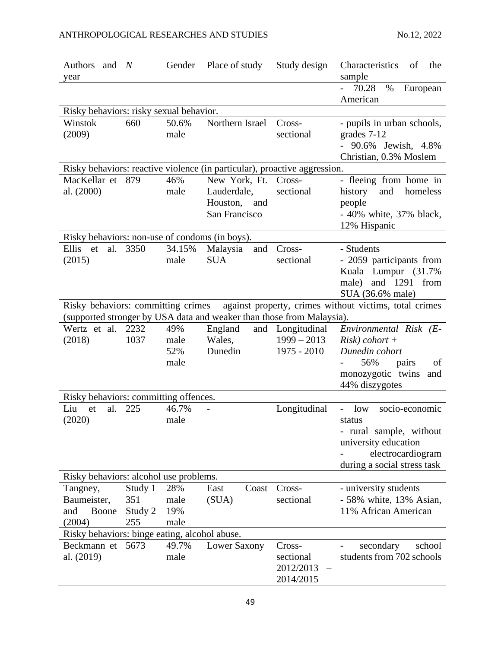| Authors<br>and                                 | N        | Gender | Place of study                                                            | Study design     | Characteristics<br>of<br>the                                                                |
|------------------------------------------------|----------|--------|---------------------------------------------------------------------------|------------------|---------------------------------------------------------------------------------------------|
| year                                           |          |        |                                                                           |                  | sample<br>70.28<br>$\%$                                                                     |
|                                                |          |        |                                                                           |                  | European<br>American                                                                        |
| Risky behaviors: risky sexual behavior.        |          |        |                                                                           |                  |                                                                                             |
| Winstok                                        | 660      | 50.6%  | Northern Israel                                                           | Cross-           |                                                                                             |
| (2009)                                         |          | male   |                                                                           | sectional        | - pupils in urban schools,<br>grades 7-12                                                   |
|                                                |          |        |                                                                           |                  | - 90.6% Jewish, 4.8%                                                                        |
|                                                |          |        |                                                                           |                  | Christian, 0.3% Moslem                                                                      |
|                                                |          |        | Risky behaviors: reactive violence (in particular), proactive aggression. |                  |                                                                                             |
| MacKellar et 879                               |          | 46%    | New York, Ft.                                                             | Cross-           | - fleeing from home in                                                                      |
| al. (2000)                                     |          | male   | Lauderdale,                                                               | sectional        | history<br>and<br>homeless                                                                  |
|                                                |          |        | Houston,<br>and                                                           |                  | people                                                                                      |
|                                                |          |        | San Francisco                                                             |                  | - 40% white, 37% black,                                                                     |
|                                                |          |        |                                                                           |                  | 12% Hispanic                                                                                |
| Risky behaviors: non-use of condoms (in boys). |          |        |                                                                           |                  |                                                                                             |
| Ellis<br>et                                    | al. 3350 | 34.15% | Malaysia<br>and                                                           | Cross-           | - Students                                                                                  |
| (2015)                                         |          | male   | <b>SUA</b>                                                                | sectional        | - 2059 participants from                                                                    |
|                                                |          |        |                                                                           |                  | Kuala Lumpur (31.7%                                                                         |
|                                                |          |        |                                                                           |                  | and 1291 from<br>male)                                                                      |
|                                                |          |        |                                                                           |                  | SUA (36.6% male)                                                                            |
|                                                |          |        |                                                                           |                  | Risky behaviors: committing crimes – against property, crimes without victims, total crimes |
|                                                |          |        | (supported stronger by USA data and weaker than those from Malaysia).     |                  |                                                                                             |
| Wertz et al.                                   | 2232     | 49%    | England                                                                   | and Longitudinal | Environmental Risk (E-                                                                      |
| (2018)                                         | 1037     | male   | Wales,                                                                    | $1999 - 2013$    | $Risk)$ cohort +                                                                            |
|                                                |          | 52%    | Dunedin                                                                   | $1975 - 2010$    | Dunedin cohort                                                                              |
|                                                |          | male   |                                                                           |                  | 56%<br>pairs<br>of                                                                          |
|                                                |          |        |                                                                           |                  | monozygotic twins<br>and                                                                    |
|                                                |          |        |                                                                           |                  | 44% diszygotes                                                                              |
| Risky behaviors: committing offences.          |          |        |                                                                           |                  |                                                                                             |
| al.<br>Liu<br>et                               | 225      | 46.7%  |                                                                           | Longitudinal     | socio-economic<br>low                                                                       |
| (2020)                                         |          | male   |                                                                           |                  | status                                                                                      |
|                                                |          |        |                                                                           |                  | - rural sample, without                                                                     |
|                                                |          |        |                                                                           |                  | university education                                                                        |
|                                                |          |        |                                                                           |                  | electrocardiogram<br>during a social stress task                                            |
| Risky behaviors: alcohol use problems.         |          |        |                                                                           |                  |                                                                                             |
| Tangney,                                       | Study 1  | 28%    | East<br>Coast                                                             | Cross-           | - university students                                                                       |
| Baumeister,                                    | 351      | male   | (SUA)                                                                     | sectional        | - 58% white, 13% Asian,                                                                     |
| Boone<br>and                                   | Study 2  | 19%    |                                                                           |                  | 11% African American                                                                        |
| (2004)                                         | 255      | male   |                                                                           |                  |                                                                                             |
| Risky behaviors: binge eating, alcohol abuse.  |          |        |                                                                           |                  |                                                                                             |
| Beckmann et                                    | 5673     | 49.7%  | Lower Saxony                                                              | Cross-           | secondary<br>school                                                                         |
| al. (2019)                                     |          | male   |                                                                           | sectional        | students from 702 schools                                                                   |
|                                                |          |        |                                                                           | 2012/2013        |                                                                                             |
|                                                |          |        |                                                                           | 2014/2015        |                                                                                             |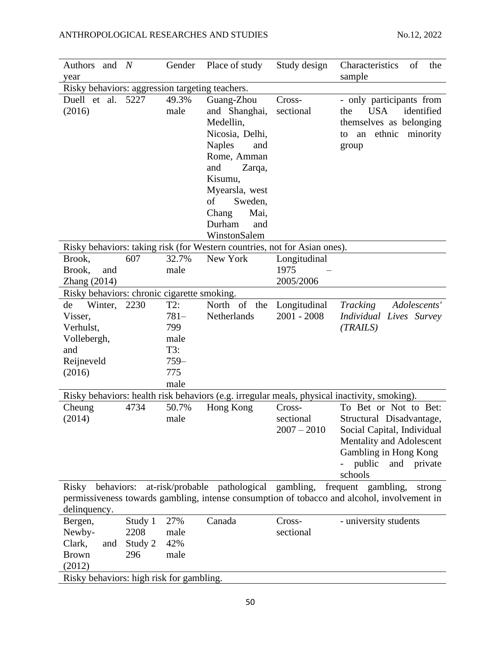| <b>Authors</b><br>and                           | N       | Gender  | Place of study                                                            | Study design  | Characteristics<br>of<br>the                                                                 |  |
|-------------------------------------------------|---------|---------|---------------------------------------------------------------------------|---------------|----------------------------------------------------------------------------------------------|--|
| year                                            |         |         |                                                                           |               | sample                                                                                       |  |
| Risky behaviors: aggression targeting teachers. |         |         |                                                                           |               |                                                                                              |  |
| Duell et al.                                    | 5227    | 49.3%   | Guang-Zhou                                                                | Cross-        | - only participants from                                                                     |  |
| (2016)                                          |         | male    | and Shanghai,                                                             | sectional     | <b>USA</b><br>identified<br>the                                                              |  |
|                                                 |         |         | Medellin,                                                                 |               | themselves as belonging                                                                      |  |
|                                                 |         |         | Nicosia, Delhi,                                                           |               | ethnic minority<br>an<br>to                                                                  |  |
|                                                 |         |         | <b>Naples</b><br>and                                                      |               | group                                                                                        |  |
|                                                 |         |         | Rome, Amman                                                               |               |                                                                                              |  |
|                                                 |         |         | and<br>Zarqa,                                                             |               |                                                                                              |  |
|                                                 |         |         | Kisumu,                                                                   |               |                                                                                              |  |
|                                                 |         |         | Myearsla, west                                                            |               |                                                                                              |  |
|                                                 |         |         | of<br>Sweden,                                                             |               |                                                                                              |  |
|                                                 |         |         | Chang<br>Mai,                                                             |               |                                                                                              |  |
|                                                 |         |         | Durham<br>and                                                             |               |                                                                                              |  |
|                                                 |         |         | WinstonSalem                                                              |               |                                                                                              |  |
|                                                 |         |         | Risky behaviors: taking risk (for Western countries, not for Asian ones). |               |                                                                                              |  |
| Brook,                                          | 607     | 32.7%   | New York                                                                  | Longitudinal  |                                                                                              |  |
| Brook,<br>and                                   |         | male    |                                                                           | 1975          |                                                                                              |  |
| Zhang $(2014)$                                  |         |         |                                                                           | 2005/2006     |                                                                                              |  |
| Risky behaviors: chronic cigarette smoking.     |         |         |                                                                           |               |                                                                                              |  |
| Winter,<br>de                                   | 2230    | T2:     | North of the                                                              | Longitudinal  | Adolescents'<br><b>Tracking</b>                                                              |  |
| Visser,                                         |         | $781 -$ | Netherlands                                                               | $2001 - 2008$ | Individual Lives Survey                                                                      |  |
| Verhulst,                                       |         | 799     |                                                                           |               | (TRAILS)                                                                                     |  |
| Vollebergh,                                     |         | male    |                                                                           |               |                                                                                              |  |
| and                                             |         | T3:     |                                                                           |               |                                                                                              |  |
| Reijneveld                                      |         | $759-$  |                                                                           |               |                                                                                              |  |
| (2016)                                          |         | 775     |                                                                           |               |                                                                                              |  |
|                                                 |         | male    |                                                                           |               |                                                                                              |  |
|                                                 |         |         |                                                                           |               | Risky behaviors: health risk behaviors (e.g. irregular meals, physical inactivity, smoking). |  |
| Cheung                                          | 4734    | 50.7%   | Hong Kong                                                                 | Cross-        | To Bet or Not to Bet:                                                                        |  |
| (2014)                                          |         | male    |                                                                           | sectional     | Structural Disadvantage,                                                                     |  |
|                                                 |         |         |                                                                           | $2007 - 2010$ | Social Capital, Individual                                                                   |  |
|                                                 |         |         |                                                                           |               | Mentality and Adolescent                                                                     |  |
|                                                 |         |         |                                                                           |               | Gambling in Hong Kong                                                                        |  |
|                                                 |         |         |                                                                           |               | public<br>and private                                                                        |  |
|                                                 |         |         |                                                                           |               | schools                                                                                      |  |
| behaviors:<br>Risky                             |         |         | at-risk/probable pathological gambling,                                   |               | frequent gambling,<br>strong                                                                 |  |
|                                                 |         |         |                                                                           |               | permissiveness towards gambling, intense consumption of tobacco and alcohol, involvement in  |  |
| delinquency.                                    |         |         |                                                                           |               |                                                                                              |  |
| Bergen,                                         | Study 1 | 27%     | Canada                                                                    | Cross-        | - university students                                                                        |  |
| Newby-                                          | 2208    | male    |                                                                           | sectional     |                                                                                              |  |
| Clark,<br>and                                   | Study 2 | 42%     |                                                                           |               |                                                                                              |  |
| <b>Brown</b>                                    | 296     | male    |                                                                           |               |                                                                                              |  |
| (2012)                                          |         |         |                                                                           |               |                                                                                              |  |
| Risky behaviors: high risk for gambling.        |         |         |                                                                           |               |                                                                                              |  |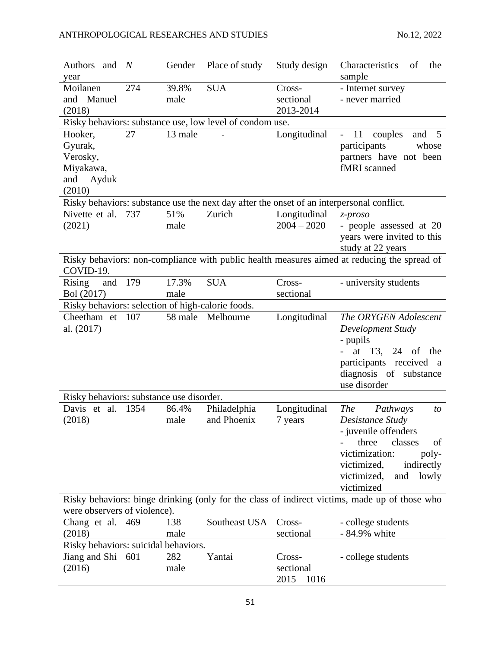| Authors and                                       | N    | Gender  | Place of study                                           | Study design  | Characteristics<br>of<br>the                                                                  |
|---------------------------------------------------|------|---------|----------------------------------------------------------|---------------|-----------------------------------------------------------------------------------------------|
| year                                              |      |         |                                                          |               | sample                                                                                        |
| Moilanen                                          | 274  | 39.8%   | <b>SUA</b>                                               | Cross-        | - Internet survey                                                                             |
| Manuel<br>and                                     |      | male    |                                                          | sectional     | - never married                                                                               |
| (2018)                                            |      |         |                                                          | 2013-2014     |                                                                                               |
|                                                   |      |         | Risky behaviors: substance use, low level of condom use. |               |                                                                                               |
| Hooker,                                           | 27   | 13 male |                                                          | Longitudinal  | 11<br>couples<br>and $5$<br>$\overline{\phantom{0}}$                                          |
| Gyurak,                                           |      |         |                                                          |               | participants<br>whose                                                                         |
| Verosky,                                          |      |         |                                                          |               | partners have not been<br>fMRI scanned                                                        |
| Miyakawa,<br>Ayduk<br>and                         |      |         |                                                          |               |                                                                                               |
| (2010)                                            |      |         |                                                          |               |                                                                                               |
|                                                   |      |         |                                                          |               | Risky behaviors: substance use the next day after the onset of an interpersonal conflict.     |
| Nivette et al. 737                                |      | 51%     | Zurich                                                   | Longitudinal  | $z$ -proso                                                                                    |
| (2021)                                            |      | male    |                                                          | $2004 - 2020$ | - people assessed at 20                                                                       |
|                                                   |      |         |                                                          |               | years were invited to this                                                                    |
|                                                   |      |         |                                                          |               | study at 22 years                                                                             |
|                                                   |      |         |                                                          |               | Risky behaviors: non-compliance with public health measures aimed at reducing the spread of   |
| COVID-19.                                         |      |         |                                                          |               |                                                                                               |
| <b>Rising</b><br>and                              | 179  | 17.3%   | <b>SUA</b>                                               | Cross-        | - university students                                                                         |
| Bol (2017)                                        |      | male    |                                                          | sectional     |                                                                                               |
| Risky behaviors: selection of high-calorie foods. |      |         |                                                          |               |                                                                                               |
| Cheetham et 107                                   |      |         | 58 male Melbourne                                        | Longitudinal  | The ORYGEN Adolescent                                                                         |
| al. (2017)                                        |      |         |                                                          |               | Development Study                                                                             |
|                                                   |      |         |                                                          |               | - pupils                                                                                      |
|                                                   |      |         |                                                          |               | at $T3$ , 24 of<br>the                                                                        |
|                                                   |      |         |                                                          |               | participants received a                                                                       |
|                                                   |      |         |                                                          |               | diagnosis of substance                                                                        |
|                                                   |      |         |                                                          |               | use disorder                                                                                  |
| Risky behaviors: substance use disorder.          |      |         |                                                          |               |                                                                                               |
| Davis et al.                                      | 1354 | 86.4%   | Philadelphia                                             | Longitudinal  | <b>The</b><br>Pathways<br>to                                                                  |
| (2018)                                            |      | male    | and Phoenix                                              | 7 years       | Desistance Study                                                                              |
|                                                   |      |         |                                                          |               | - juvenile offenders                                                                          |
|                                                   |      |         |                                                          |               | classes<br>three<br>οf                                                                        |
|                                                   |      |         |                                                          |               | victimization:<br>poly-                                                                       |
|                                                   |      |         |                                                          |               | victimized,<br>indirectly                                                                     |
|                                                   |      |         |                                                          |               | victimized,<br>and<br>lowly                                                                   |
|                                                   |      |         |                                                          |               | victimized                                                                                    |
| were observers of violence).                      |      |         |                                                          |               | Risky behaviors: binge drinking (only for the class of indirect victims, made up of those who |
| Chang et al. 469                                  |      | 138     | Southeast USA                                            | Cross-        | - college students                                                                            |
| (2018)                                            |      | male    |                                                          | sectional     | - 84.9% white                                                                                 |
| Risky behaviors: suicidal behaviors.              |      |         |                                                          |               |                                                                                               |
| Jiang and Shi 601                                 |      | 282     | Yantai                                                   | Cross-        | - college students                                                                            |
| (2016)                                            |      | male    |                                                          | sectional     |                                                                                               |
|                                                   |      |         |                                                          | $2015 - 1016$ |                                                                                               |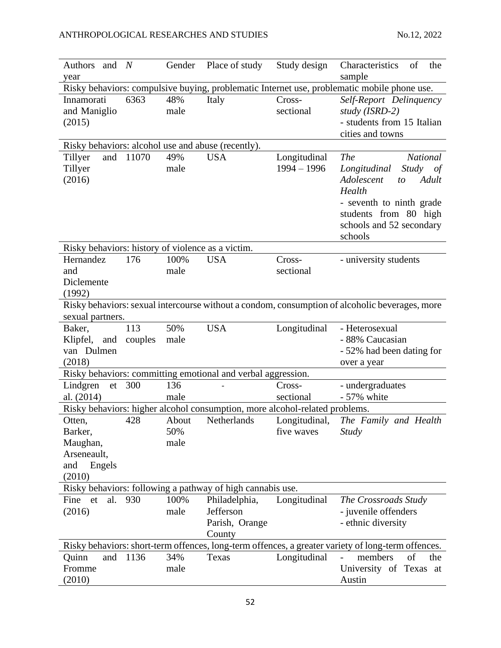| Authors and N                                     |         | Gender | Place of study                                                              | Study design  | Characteristics<br>of<br>the                                                                       |
|---------------------------------------------------|---------|--------|-----------------------------------------------------------------------------|---------------|----------------------------------------------------------------------------------------------------|
| year                                              |         |        |                                                                             |               | sample                                                                                             |
|                                                   |         |        |                                                                             |               | Risky behaviors: compulsive buying, problematic Internet use, problematic mobile phone use.        |
| Innamorati                                        | 6363    | 48%    | Italy                                                                       | Cross-        | Self-Report Delinquency                                                                            |
| and Maniglio                                      |         | male   |                                                                             | sectional     | study (ISRD-2)                                                                                     |
| (2015)                                            |         |        |                                                                             |               | - students from 15 Italian                                                                         |
|                                                   |         |        |                                                                             |               | cities and towns                                                                                   |
|                                                   |         |        | Risky behaviors: alcohol use and abuse (recently).                          |               |                                                                                                    |
| and<br>Tillyer                                    | 11070   | 49%    | <b>USA</b>                                                                  | Longitudinal  | <b>The</b><br><b>National</b>                                                                      |
| Tillyer                                           |         | male   |                                                                             | $1994 - 1996$ | <b>Study</b><br>Longitudinal<br>of                                                                 |
| (2016)                                            |         |        |                                                                             |               | Adolescent<br>Adult<br>to<br>Health                                                                |
|                                                   |         |        |                                                                             |               | - seventh to ninth grade                                                                           |
|                                                   |         |        |                                                                             |               | students from 80 high                                                                              |
|                                                   |         |        |                                                                             |               | schools and 52 secondary                                                                           |
|                                                   |         |        |                                                                             |               | schools                                                                                            |
| Risky behaviors: history of violence as a victim. |         |        |                                                                             |               |                                                                                                    |
| Hernandez                                         | 176     | 100%   | <b>USA</b>                                                                  | Cross-        | - university students                                                                              |
| and                                               |         | male   |                                                                             | sectional     |                                                                                                    |
| Diclemente                                        |         |        |                                                                             |               |                                                                                                    |
| (1992)                                            |         |        |                                                                             |               |                                                                                                    |
|                                                   |         |        |                                                                             |               | Risky behaviors: sexual intercourse without a condom, consumption of alcoholic beverages, more     |
| sexual partners.                                  |         |        |                                                                             |               |                                                                                                    |
| Baker,                                            | 113     | 50%    | <b>USA</b>                                                                  | Longitudinal  | - Heterosexual                                                                                     |
| Klipfel, and                                      | couples | male   |                                                                             |               | - 88% Caucasian                                                                                    |
| van Dulmen                                        |         |        |                                                                             |               | - 52% had been dating for                                                                          |
| (2018)                                            |         |        |                                                                             |               | over a year                                                                                        |
| Lindgren<br>et                                    | 300     | 136    | Risky behaviors: committing emotional and verbal aggression.                | Cross-        |                                                                                                    |
| al. (2014)                                        |         | male   |                                                                             | sectional     | - undergraduates<br>- 57% white                                                                    |
|                                                   |         |        | Risky behaviors: higher alcohol consumption, more alcohol-related problems. |               |                                                                                                    |
| Otten,                                            | 428     | About  | Netherlands                                                                 | Longitudinal, | The Family and Health                                                                              |
| Barker,                                           |         | 50%    |                                                                             | five waves    | <b>Study</b>                                                                                       |
| Maughan,                                          |         | male   |                                                                             |               |                                                                                                    |
| Arseneault,                                       |         |        |                                                                             |               |                                                                                                    |
| Engels<br>and                                     |         |        |                                                                             |               |                                                                                                    |
| (2010)                                            |         |        |                                                                             |               |                                                                                                    |
|                                                   |         |        | Risky behaviors: following a pathway of high cannabis use.                  |               |                                                                                                    |
| al.<br>Fine<br>et                                 | 930     | 100%   | Philadelphia,                                                               | Longitudinal  | The Crossroads Study                                                                               |
| (2016)                                            |         | male   | Jefferson                                                                   |               | - juvenile offenders                                                                               |
|                                                   |         |        | Parish, Orange                                                              |               | - ethnic diversity                                                                                 |
|                                                   |         |        | County                                                                      |               |                                                                                                    |
|                                                   |         |        |                                                                             |               | Risky behaviors: short-term offences, long-term offences, a greater variety of long-term offences. |
| Quinn<br>and                                      | 1136    | 34%    | Texas                                                                       | Longitudinal  | members<br>of<br>the                                                                               |
|                                                   |         |        |                                                                             |               |                                                                                                    |
| Fromme                                            |         | male   |                                                                             |               | University of Texas at                                                                             |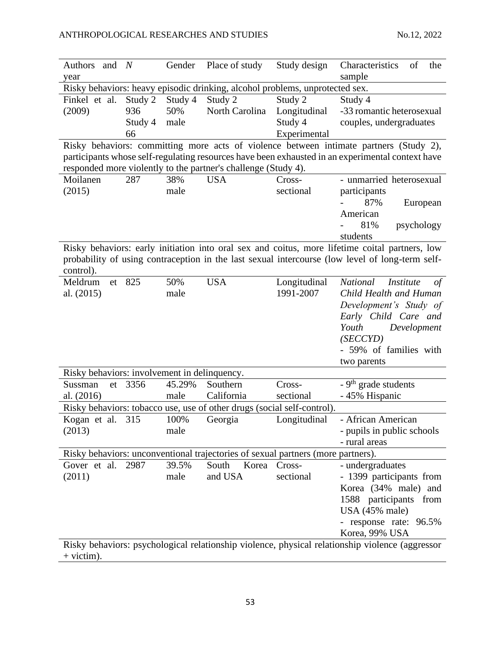| Authors<br>and $N$                           |         | Gender  | Place of study                                                                   | Study design | Characteristics<br>of<br>the                                                                     |
|----------------------------------------------|---------|---------|----------------------------------------------------------------------------------|--------------|--------------------------------------------------------------------------------------------------|
| year                                         |         |         |                                                                                  |              | sample                                                                                           |
|                                              |         |         | Risky behaviors: heavy episodic drinking, alcohol problems, unprotected sex.     |              |                                                                                                  |
| Finkel et al.                                | Study 2 | Study 4 | Study 2                                                                          | Study 2      | Study 4                                                                                          |
| (2009)                                       | 936     | 50%     | North Carolina                                                                   | Longitudinal | -33 romantic heterosexual                                                                        |
|                                              | Study 4 | male    |                                                                                  | Study 4      | couples, undergraduates                                                                          |
|                                              | 66      |         |                                                                                  | Experimental |                                                                                                  |
|                                              |         |         |                                                                                  |              | Risky behaviors: committing more acts of violence between intimate partners (Study 2),           |
|                                              |         |         |                                                                                  |              | participants whose self-regulating resources have been exhausted in an experimental context have |
|                                              |         |         | responded more violently to the partner's challenge (Study 4).                   |              |                                                                                                  |
| Moilanen                                     | 287     | 38%     | <b>USA</b>                                                                       | Cross-       | - unmarried heterosexual                                                                         |
| (2015)                                       |         | male    |                                                                                  | sectional    | participants                                                                                     |
|                                              |         |         |                                                                                  |              | 87%<br>European                                                                                  |
|                                              |         |         |                                                                                  |              | American                                                                                         |
|                                              |         |         |                                                                                  |              | 81%<br>psychology                                                                                |
|                                              |         |         |                                                                                  |              | students                                                                                         |
|                                              |         |         |                                                                                  |              | Risky behaviors: early initiation into oral sex and coitus, more lifetime coital partners, low   |
|                                              |         |         |                                                                                  |              | probability of using contraception in the last sexual intercourse (low level of long-term self-  |
| control).                                    |         |         |                                                                                  |              |                                                                                                  |
| Meldrum<br>et                                | 825     | 50%     | <b>USA</b>                                                                       | Longitudinal | <b>National</b><br><i>Institute</i><br>$\sigma f$                                                |
| al. (2015)                                   |         | male    |                                                                                  | 1991-2007    | Child Health and Human                                                                           |
|                                              |         |         |                                                                                  |              | Development's Study of                                                                           |
|                                              |         |         |                                                                                  |              | Early Child Care and<br>Youth                                                                    |
|                                              |         |         |                                                                                  |              | Development<br>(SECCYD)                                                                          |
|                                              |         |         |                                                                                  |              | - 59% of families with                                                                           |
|                                              |         |         |                                                                                  |              | two parents                                                                                      |
| Risky behaviors: involvement in delinquency. |         |         |                                                                                  |              |                                                                                                  |
| Sussman<br>et                                | 3356    | 45.29%  | Southern                                                                         | Cross-       | $-9th$ grade students                                                                            |
| al. (2016)                                   |         | male    | California                                                                       | sectional    | - 45% Hispanic                                                                                   |
|                                              |         |         | Risky behaviors: tobacco use, use of other drugs (social self-control).          |              |                                                                                                  |
| Kogan et al.                                 | 315     | 100%    | Georgia                                                                          | Longitudinal | - African American                                                                               |
| (2013)                                       |         | male    |                                                                                  |              | - pupils in public schools                                                                       |
|                                              |         |         |                                                                                  |              | - rural areas                                                                                    |
|                                              |         |         | Risky behaviors: unconventional trajectories of sexual partners (more partners). |              |                                                                                                  |
| Gover et al. 2987                            |         | 39.5%   | South<br>Korea                                                                   | Cross-       | - undergraduates                                                                                 |
| (2011)                                       |         | male    | and USA                                                                          | sectional    | - 1399 participants from                                                                         |
|                                              |         |         |                                                                                  |              | Korea (34% male) and                                                                             |
|                                              |         |         |                                                                                  |              | 1588 participants from                                                                           |
|                                              |         |         |                                                                                  |              | USA $(45\%$ male)                                                                                |
|                                              |         |         |                                                                                  |              | - response rate: 96.5%                                                                           |
|                                              |         |         |                                                                                  |              | Korea, 99% USA                                                                                   |
|                                              |         |         |                                                                                  |              | Risky behaviors: psychological relationship violence, physical relationship violence (aggressor  |
| $+$ victim).                                 |         |         |                                                                                  |              |                                                                                                  |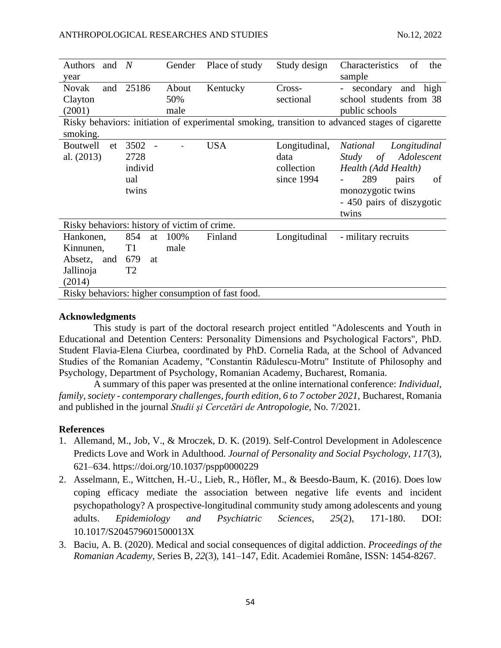| <b>Authors</b><br>and                        | $\overline{N}$ | Gender | Place of study                                    | Study design  | Characteristics<br>of<br>the                                                                    |
|----------------------------------------------|----------------|--------|---------------------------------------------------|---------------|-------------------------------------------------------------------------------------------------|
| year                                         |                |        |                                                   |               | sample                                                                                          |
| <b>Novak</b><br>and                          | 25186          | About  | Kentucky                                          | Cross-        | secondary and high                                                                              |
| Clayton                                      |                | 50%    |                                                   | sectional     | school students from 38                                                                         |
| (2001)                                       |                | male   |                                                   |               | public schools                                                                                  |
| smoking.                                     |                |        |                                                   |               | Risky behaviors: initiation of experimental smoking, transition to advanced stages of cigarette |
| <b>Boutwell</b><br>et                        | 3502           |        | <b>USA</b>                                        | Longitudinal, | <i>National</i><br>Longitudinal                                                                 |
| al. $(2013)$                                 | 2728           |        |                                                   | data          | Adolescent<br>Study<br>$\sigma f$                                                               |
|                                              | individ        |        |                                                   | collection    | Health (Add Health)                                                                             |
|                                              | ual            |        |                                                   | since 1994    | 289<br>pairs<br>of                                                                              |
|                                              | twins          |        |                                                   |               | monozygotic twins                                                                               |
|                                              |                |        |                                                   |               | - 450 pairs of diszygotic                                                                       |
|                                              |                |        |                                                   |               | twins                                                                                           |
| Risky behaviors: history of victim of crime. |                |        |                                                   |               |                                                                                                 |
| Hankonen,                                    | 854<br>at      | 100%   | Finland                                           | Longitudinal  | - military recruits                                                                             |
| Kinnunen,                                    | T <sub>1</sub> | male   |                                                   |               |                                                                                                 |
| Absetz,<br>and                               | 679<br>at      |        |                                                   |               |                                                                                                 |
| Jallinoja                                    | T2             |        |                                                   |               |                                                                                                 |
| (2014)                                       |                |        |                                                   |               |                                                                                                 |
|                                              |                |        | Risky behaviors: higher consumption of fast food. |               |                                                                                                 |

### **Acknowledgments**

This study is part of the doctoral research project entitled "Adolescents and Youth in Educational and Detention Centers: Personality Dimensions and Psychological Factors", PhD. Student Flavia-Elena Ciurbea, coordinated by PhD. Cornelia Rada, at the School of Advanced Studies of the Romanian Academy, "Constantin Rădulescu-Motru" Institute of Philosophy and Psychology, Department of Psychology, Romanian Academy, Bucharest, Romania.

A summary of this paper was presented at the online international conference: *Individual, family, society - contemporary challenges, fourth edition, 6 to 7 october 2021,* Bucharest, Romania and published in the journal *Studii şi Cercetări de Antropologie*, No. 7/2021.

### **References**

- 1. Allemand, M., Job, V., & Mroczek, D. K. (2019). Self-Control Development in Adolescence Predicts Love and Work in Adulthood. *Journal of Personality and Social Psychology, 117*(3), 621–634. [https://doi.org/10.1037/pspp0000229](https://content.apa.org/doi/10.1037/pspp0000229)
- 2. Asselmann, E., Wittchen, H.-U., Lieb, R., Höfler, M., & Beesdo-Baum, K. (2016). Does low coping efficacy mediate the association between negative life events and incident psychopathology? A prospective-longitudinal community study among adolescents and young adults. *Epidemiology and Psychiatric Sciences*, *25*(2), 171-180. DOI: 10.1017/S204579601500013X
- 3. Baciu, A. B. (2020). Medical and social consequences of digital addiction. *Proceedings of the Romanian Academy*, Series B, *22*(3), 141–147, Edit. Academiei Române, ISSN: 1454-8267.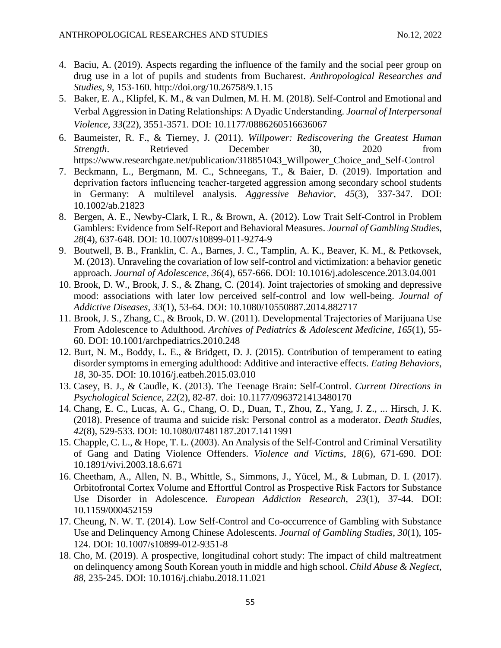- 4. Baciu, A. (2019). Aspects regarding the influence of the family and the social peer group on drug use in a lot of pupils and students from Bucharest. *Anthropological Researches and Studies, 9,* 153-160. http://doi.org/10.26758/9.1.15
- 5. Baker, E. A., Klipfel, K. M., & van Dulmen, M. H. M. (2018). Self-Control and Emotional and Verbal Aggression in Dating Relationships: A Dyadic Understanding. *Journal of Interpersonal Violence*, *33*(22), 3551-3571. DOI: 10.1177/0886260516636067
- 6. Baumeister, R. F., & Tierney, J. (2011). *Willpower: Rediscovering the Greatest Human Strength*. Retrieved December 30, 2020 from [https://www.researchgate.net/publication/318851043\\_Willpower\\_Choice\\_and\\_Self-Control](https://www.researchgate.net/publication/318851043_Willpower_Choice_and_Self-Control)
- 7. Beckmann, L., Bergmann, M. C., Schneegans, T., & Baier, D. (2019). Importation and deprivation factors influencing teacher‐targeted aggression among secondary school students in Germany: A multilevel analysis. *Aggressive Behavior*, *45*(3), 337-347. DOI: 10.1002/ab.21823
- 8. Bergen, A. E., Newby-Clark, I. R., & Brown, A. (2012). Low Trait Self-Control in Problem Gamblers: Evidence from Self-Report and Behavioral Measures. *Journal of Gambling Studies*, *28*(4), 637-648. DOI: 10.1007/s10899-011-9274-9
- 9. Boutwell, B. B., Franklin, C. A., Barnes, J. C., Tamplin, A. K., Beaver, K. M., & Petkovsek, M. (2013). Unraveling the covariation of low self-control and victimization: a behavior genetic approach. *Journal of Adolescence*, *36*(4), 657-666. DOI: 10.1016/j.adolescence.2013.04.001
- 10. Brook, D. W., Brook, J. S., & Zhang, C. (2014). Joint trajectories of smoking and depressive mood: associations with later low perceived self-control and low well-being. *Journal of Addictive Diseases*, *33*(1), 53-64. DOI: 10.1080/10550887.2014.882717
- 11. Brook, J. S., Zhang, C., & Brook, D. W. (2011). Developmental Trajectories of Marijuana Use From Adolescence to Adulthood. *Archives of Pediatrics & Adolescent Medicine*, *165*(1), 55- 60. DOI: 10.1001/archpediatrics.2010.248
- 12. Burt, N. M., Boddy, L. E., & Bridgett, D. J. (2015). Contribution of temperament to eating disorder symptoms in emerging adulthood: Additive and interactive effects. *Eating Behaviors*, *18*, 30-35. DOI: 10.1016/j.eatbeh.2015.03.010
- 13. Casey, B. J., & Caudle, K. (2013). The Teenage Brain: Self-Control. *Current Directions in Psychological Science*, *22*(2), 82-87. doi: [10.1177/0963721413480170](https://dx.doi.org/10.1177%2F0963721413480170)
- 14. Chang, E. C., Lucas, A. G., Chang, O. D., Duan, T., Zhou, Z., Yang, J. Z., ... Hirsch, J. K. (2018). Presence of trauma and suicide risk: Personal control as a moderator. *Death Studies*, *42*(8), 529-533. DOI: 10.1080/07481187.2017.1411991
- 15. Chapple, C. L., & Hope, T. L. (2003). An Analysis of the Self-Control and Criminal Versatility of Gang and Dating Violence Offenders. *Violence and Victims*, *18*(6), 671-690. DOI: 10.1891/vivi.2003.18.6.671
- 16. Cheetham, A., Allen, N. B., Whittle, S., Simmons, J., Yücel, M., & Lubman, D. I. (2017). Orbitofrontal Cortex Volume and Effortful Control as Prospective Risk Factors for Substance Use Disorder in Adolescence. *European Addiction Research*, *23*(1), 37-44. DOI: 10.1159/000452159
- 17. Cheung, N. W. T. (2014). Low Self-Control and Co-occurrence of Gambling with Substance Use and Delinquency Among Chinese Adolescents. *Journal of Gambling Studies*, *30*(1), 105- 124. DOI: 10.1007/s10899-012-9351-8
- 18. Cho, M. (2019). A prospective, longitudinal cohort study: The impact of child maltreatment on delinquency among South Korean youth in middle and high school. *Child Abuse & Neglect*, *88*, 235-245. DOI: 10.1016/j.chiabu.2018.11.021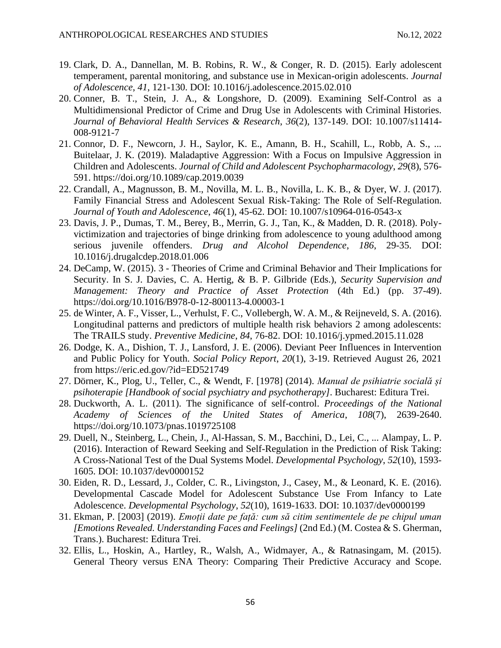- 19. Clark, D. A., Dannellan, M. B. Robins, R. W., & Conger, R. D. (2015). Early adolescent temperament, parental monitoring, and substance use in Mexican-origin adolescents. *Journal of Adolescence*, *41*, 121-130. DOI: 10.1016/j.adolescence.2015.02.010
- 20. Conner, B. T., Stein, J. A., & Longshore, D. (2009). Examining Self-Control as a Multidimensional Predictor of Crime and Drug Use in Adolescents with Criminal Histories. *Journal of Behavioral Health Services & Research*, *36*(2), 137-149. DOI: 10.1007/s11414- 008-9121-7
- 21. Connor, D. F., Newcorn, J. H., Saylor, K. E., Amann, B. H., Scahill, L., Robb, A. S., ... Buitelaar, J. K. (2019). Maladaptive Aggression: With a Focus on Impulsive Aggression in Children and Adolescents. *Journal of Child and Adolescent Psychopharmacology*, *29*(8), 576- 591.<https://doi.org/10.1089/cap.2019.0039>
- 22. Crandall, A., Magnusson, B. M., Novilla, M. L. B., Novilla, L. K. B., & Dyer, W. J. (2017). Family Financial Stress and Adolescent Sexual Risk-Taking: The Role of Self-Regulation. *Journal of Youth and Adolescence*, *46*(1), 45-62. DOI: 10.1007/s10964-016-0543-x
- 23. Davis, J. P., Dumas, T. M., Berey, B., Merrin, G. J., Tan, K., & Madden, D. R. (2018). Polyvictimization and trajectories of binge drinking from adolescence to young adulthood among serious juvenile offenders. *Drug and Alcohol Dependence*, *186*, 29-35. DOI: 10.1016/j.drugalcdep.2018.01.006
- 24. DeCamp, W. (2015). 3 Theories of Crime and Criminal Behavior and Their Implications for Security. In S. J. Davies, C. A. Hertig, & B. P. Gilbride (Eds.), *Security Supervision and Management: Theory and Practice of Asset Protection* (4th Ed.) (pp. 37-49). <https://doi.org/10.1016/B978-0-12-800113-4.00003-1>
- 25. de Winter, A. F., Visser, L., Verhulst, F. C., Vollebergh, W. A. M., & Reijneveld, S. A. (2016). Longitudinal patterns and predictors of multiple health risk behaviors 2 among adolescents: The TRAILS study. *Preventive Medicine*, *84*, 76-82. DOI: 10.1016/j.ypmed.2015.11.028
- 26. Dodge, K. A., Dishion, T. J., Lansford, J. E. (2006). Deviant Peer Influences in Intervention and Public Policy for Youth. *Social Policy Report*, *20*(1), 3-19. Retrieved August 26, 2021 from<https://eric.ed.gov/?id=ED521749>
- 27. Dörner, K., Plog, U., Teller, C., & Wendt, F. [1978] (2014). *Manual de psihiatrie socială și psihoterapie [Handbook of social psychiatry and psychotherapy]*. Bucharest: Editura Trei.
- 28. Duckworth, A. L. (2011). The significance of self-control. *Proceedings of the National Academy of Sciences of the United States of America*, *108*(7), 2639-2640. <https://doi.org/10.1073/pnas.1019725108>
- 29. Duell, N., Steinberg, L., Chein, J., Al-Hassan, S. M., Bacchini, D., Lei, C., ... Alampay, L. P. (2016). Interaction of Reward Seeking and Self-Regulation in the Prediction of Risk Taking: A Cross-National Test of the Dual Systems Model. *Developmental Psychology*, *52*(10), 1593- 1605. DOI: 10.1037/dev0000152
- 30. Eiden, R. D., Lessard, J., Colder, C. R., Livingston, J., Casey, M., & Leonard, K. E. (2016). Developmental Cascade Model for Adolescent Substance Use From Infancy to Late Adolescence. *Developmental Psychology*, *52*(10), 1619-1633. DOI: 10.1037/dev0000199
- 31. Ekman, P. [2003] (2019). *Emoții date pe față: cum să citim sentimentele de pe chipul uman [Emotions Revealed. Understanding Faces and Feelings]* (2nd Ed.) (M. Costea & S. Gherman, Trans.). Bucharest: Editura Trei.
- 32. Ellis, L., Hoskin, A., Hartley, R., Walsh, A., Widmayer, A., & Ratnasingam, M. (2015). General Theory versus ENA Theory: Comparing Their Predictive Accuracy and Scope.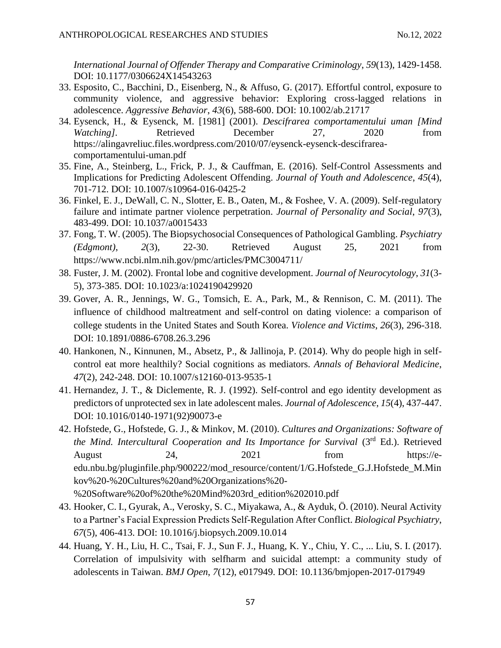*International Journal of Offender Therapy and Comparative Criminology*, *59*(13), 1429-1458. DOI: 10.1177/0306624X14543263

- 33. Esposito, C., Bacchini, D., Eisenberg, N., & Affuso, G. (2017). Effortful control, exposure to community violence, and aggressive behavior: Exploring cross-lagged relations in adolescence. *Aggressive Behavior*, *43*(6), 588-600. DOI: 10.1002/ab.21717
- 34. Eysenck, H., & Eysenck, M. [1981] (2001). *Descifrarea comportamentului uman [Mind Watching]*. Retrieved December 27, 2020 from [https://alingavreliuc.files.wordpress.com/2010/07/eysenck-eysenck-descifrarea](https://alingavreliuc.files.wordpress.com/2010/07/eysenck-eysenck-descifrarea-comportamentului-uman.pdf)[comportamentului-uman.pdf](https://alingavreliuc.files.wordpress.com/2010/07/eysenck-eysenck-descifrarea-comportamentului-uman.pdf)
- 35. Fine, A., Steinberg, L., Frick, P. J., & Cauffman, E. (2016). Self-Control Assessments and Implications for Predicting Adolescent Offending. *Journal of Youth and Adolescence*, *45*(4), 701-712. DOI: 10.1007/s10964-016-0425-2
- 36. Finkel, E. J., DeWall, C. N., Slotter, E. B., Oaten, M., & Foshee, V. A. (2009). Self-regulatory failure and intimate partner violence perpetration. *Journal of Personality and Social*, *97*(3), 483-499. DOI: 10.1037/a0015433
- 37. Fong, T. W. (2005). The Biopsychosocial Consequences of Pathological Gambling. *Psychiatry (Edgmont)*, *2*(3), 22-30. Retrieved August 25, 2021 from <https://www.ncbi.nlm.nih.gov/pmc/articles/PMC3004711/>
- 38. Fuster, J. M. (2002). Frontal lobe and cognitive development. *Journal of Neurocytology*, *31*(3- 5), 373-385. DOI: [10.1023/a:1024190429920](https://doi.org/10.1023/a:1024190429920)
- 39. Gover, A. R., Jennings, W. G., Tomsich, E. A., Park, M., & Rennison, C. M. (2011). The influence of childhood maltreatment and self-control on dating violence: a comparison of college students in the United States and South Korea. *Violence and Victims*, *26*(3), 296-318. DOI: 10.1891/0886-6708.26.3.296
- 40. Hankonen, N., Kinnunen, M., Absetz, P., & Jallinoja, P. (2014). Why do people high in selfcontrol eat more healthily? Social cognitions as mediators. *Annals of Behavioral Medicine*, *47*(2), 242-248. DOI: 10.1007/s12160-013-9535-1
- 41. Hernandez, J. T., & Diclemente, R. J. (1992). Self-control and ego identity development as predictors of unprotected sex in late adolescent males. *Journal of Adolescence*, *15*(4), 437-447. DOI: 10.1016/0140-1971(92)90073-e
- 42. Hofstede, G., Hofstede, G. J., & Minkov, M. (2010). *Cultures and Organizations: Software of*  the Mind. Intercultural Cooperation and Its Importance for Survival (3rd Ed.). Retrieved August 24, 2021 from [https://e](https://e-edu.nbu.bg/pluginfile.php/900222/mod_resource/content/1/G.Hofstede_G.J.Hofstede_M.Minkov%20-%20Cultures%20and%20Organizations%20-%20Software%20of%20the%20Mind%203rd_edition%202010.pdf)[edu.nbu.bg/pluginfile.php/900222/mod\\_resource/content/1/G.Hofstede\\_G.J.Hofstede\\_M.Min](https://e-edu.nbu.bg/pluginfile.php/900222/mod_resource/content/1/G.Hofstede_G.J.Hofstede_M.Minkov%20-%20Cultures%20and%20Organizations%20-%20Software%20of%20the%20Mind%203rd_edition%202010.pdf) [kov%20-%20Cultures%20and%20Organizations%20-](https://e-edu.nbu.bg/pluginfile.php/900222/mod_resource/content/1/G.Hofstede_G.J.Hofstede_M.Minkov%20-%20Cultures%20and%20Organizations%20-%20Software%20of%20the%20Mind%203rd_edition%202010.pdf) [%20Software%20of%20the%20Mind%203rd\\_edition%202010.pdf](https://e-edu.nbu.bg/pluginfile.php/900222/mod_resource/content/1/G.Hofstede_G.J.Hofstede_M.Minkov%20-%20Cultures%20and%20Organizations%20-%20Software%20of%20the%20Mind%203rd_edition%202010.pdf)
- 43. Hooker, C. I., Gyurak, A., Verosky, S. C., Miyakawa, A., & Ayduk, Ö. (2010). Neural Activity to a Partner's Facial Expression Predicts Self-Regulation After Conflict. *Biological Psychiatry*, *67*(5), 406-413. DOI: 10.1016/j.biopsych.2009.10.014
- 44. Huang, Y. H., Liu, H. C., Tsai, F. J., Sun F. J., Huang, K. Y., Chiu, Y. C., ... Liu, S. I. (2017). Correlation of impulsivity with selfharm and suicidal attempt: a community study of adolescents in Taiwan. *BMJ Open*, *7*(12), e017949. DOI: 10.1136/bmjopen-2017-017949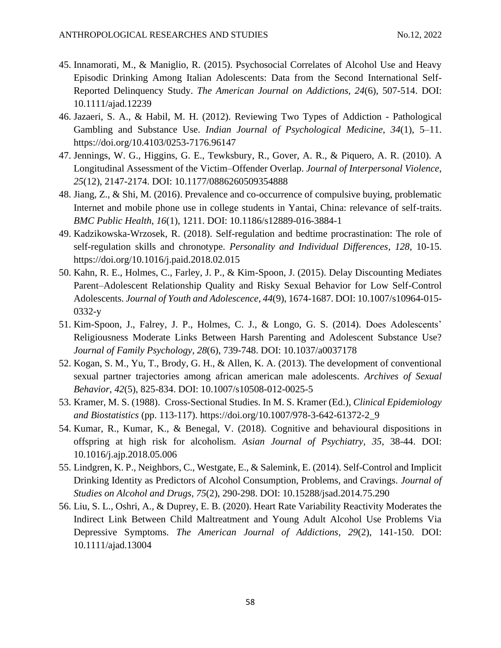- 45. Innamorati, M., & Maniglio, R. (2015). Psychosocial Correlates of Alcohol Use and Heavy Episodic Drinking Among Italian Adolescents: Data from the Second International Self-Reported Delinquency Study. *The American Journal on Addictions*, *24*(6), 507-514. DOI: 10.1111/ajad.12239
- 46. Jazaeri, S. A., & Habil, M. H. (2012). Reviewing Two Types of Addiction Pathological Gambling and Substance Use. *Indian Journal of Psychological Medicine*, *34*(1), 5–11. https://doi.org/10.4103/0253-7176.96147
- 47. Jennings, W. G., Higgins, G. E., Tewksbury, R., Gover, A. R., & Piquero, A. R. (2010). A Longitudinal Assessment of the Victim–Offender Overlap. *Journal of Interpersonal Violence*, *25*(12), 2147-2174. DOI: 10.1177/0886260509354888
- 48. Jiang, Z., & Shi, M. (2016). Prevalence and co-occurrence of compulsive buying, problematic Internet and mobile phone use in college students in Yantai, China: relevance of self-traits. *BMC Public Health*, *16*(1), 1211. DOI: 10.1186/s12889-016-3884-1
- 49. Kadzikowska-Wrzosek, R. (2018). Self-regulation and bedtime procrastination: The role of self-regulation skills and chronotype. *Personality and Individual Differences*, *128*, 10-15. <https://doi.org/10.1016/j.paid.2018.02.015>
- 50. Kahn, R. E., Holmes, C., Farley, J. P., & Kim-Spoon, J. (2015). Delay Discounting Mediates Parent–Adolescent Relationship Quality and Risky Sexual Behavior for Low Self-Control Adolescents. *Journal of Youth and Adolescence*, *44*(9), 1674-1687. DOI: 10.1007/s10964-015- 0332-y
- 51. Kim-Spoon, J., Falrey, J. P., Holmes, C. J., & Longo, G. S. (2014). Does Adolescents' Religiousness Moderate Links Between Harsh Parenting and Adolescent Substance Use? *Journal of Family Psychology*, *28*(6), 739-748. DOI: 10.1037/a0037178
- 52. Kogan, S. M., Yu, T., Brody, G. H., & Allen, K. A. (2013). The development of conventional sexual partner trajectories among african american male adolescents. *Archives of Sexual Behavior*, *42*(5), 825-834. DOI: 10.1007/s10508-012-0025-5
- 53. Kramer, M. S. (1988). Cross-Sectional Studies. In M. S. Kramer (Ed.), *Clinical Epidemiology and Biostatistics* (pp. 113-117). [https://doi.org/10.1007/978-3-642-61372-2\\_9](https://doi.org/10.1007/978-3-642-61372-2_9)
- 54. Kumar, R., Kumar, K., & Benegal, V. (2018). Cognitive and behavioural dispositions in offspring at high risk for alcoholism. *Asian Journal of Psychiatry*, *35*, 38-44. DOI: 10.1016/j.ajp.2018.05.006
- 55. Lindgren, K. P., Neighbors, C., Westgate, E., & Salemink, E. (2014). Self-Control and Implicit Drinking Identity as Predictors of Alcohol Consumption, Problems, and Cravings. *Journal of Studies on Alcohol and Drugs*, *75*(2), 290-298. DOI: 10.15288/jsad.2014.75.290
- 56. Liu, S. L., Oshri, A., & Duprey, E. B. (2020). Heart Rate Variability Reactivity Moderates the Indirect Link Between Child Maltreatment and Young Adult Alcohol Use Problems Via Depressive Symptoms. *The American Journal of Addictions*, *29*(2), 141-150. DOI: 10.1111/ajad.13004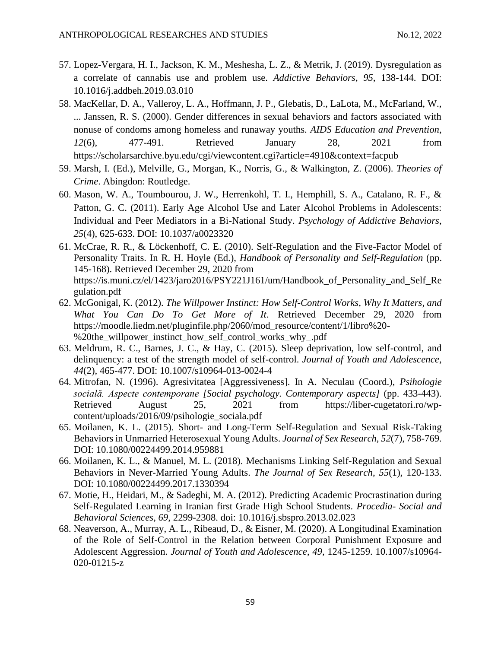- 57. Lopez-Vergara, H. I., Jackson, K. M., Meshesha, L. Z., & Metrik, J. (2019). Dysregulation as a correlate of cannabis use and problem use. *Addictive Behaviors*, *95*, 138-144. DOI: 10.1016/j.addbeh.2019.03.010
- 58. MacKellar, D. A., Valleroy, L. A., Hoffmann, J. P., Glebatis, D., LaLota, M., McFarland, W., ... Janssen, R. S. (2000). Gender differences in sexual behaviors and factors associated with nonuse of condoms among homeless and runaway youths. *AIDS Education and Prevention*, *12*(6), 477-491. Retrieved January 28, 2021 from <https://scholarsarchive.byu.edu/cgi/viewcontent.cgi?article=4910&context=facpub>
- 59. Marsh, I. (Ed.), Melville, G., Morgan, K., Norris, G., & Walkington, Z. (2006). *Theories of Crime*. Abingdon: Routledge.
- 60. Mason, W. A., Toumbourou, J. W., Herrenkohl, T. I., Hemphill, S. A., Catalano, R. F., & Patton, G. C. (2011). Early Age Alcohol Use and Later Alcohol Problems in Adolescents: Individual and Peer Mediators in a Bi-National Study. *Psychology of Addictive Behaviors*, *25*(4), 625-633. DOI: 10.1037/a0023320
- 61. McCrae, R. R., & Löckenhoff, C. E. (2010). Self-Regulation and the Five-Factor Model of Personality Traits. In R. H. Hoyle (Ed.), *Handbook of Personality and Self-Regulation* (pp. 145-168). Retrieved December 29, 2020 from https://is.muni.cz/el/1423/jaro2016/PSY221J161/um/Handbook of Personality and Self Re [gulation.pdf](https://is.muni.cz/el/1423/jaro2016/PSY221J161/um/Handbook_of_Personality_and_Self_Regulation.pdf)
- 62. McGonigal, K. (2012). *The Willpower Instinct: How Self-Control Works, Why It Matters, and What You Can Do To Get More of It*. Retrieved December 29, 2020 from [https://moodle.liedm.net/pluginfile.php/2060/mod\\_resource/content/1/libro%20-](https://moodle.liedm.net/pluginfile.php/2060/mod_resource/content/1/libro%20-%20the_willpower_instinct_how_self_control_works_why_.pdf) [%20the\\_willpower\\_instinct\\_how\\_self\\_control\\_works\\_why\\_.pdf](https://moodle.liedm.net/pluginfile.php/2060/mod_resource/content/1/libro%20-%20the_willpower_instinct_how_self_control_works_why_.pdf)
- 63. Meldrum, R. C., Barnes, J. C., & Hay, C. (2015). Sleep deprivation, low self-control, and delinquency: a test of the strength model of self-control. *Journal of Youth and Adolescence*, *44*(2), 465-477. DOI: 10.1007/s10964-013-0024-4
- 64. Mitrofan, N. (1996). Agresivitatea [Aggressiveness]. In A. Neculau (Coord.), *Psihologie socială. Aspecte contemporane [Social psychology. Contemporary aspects]* (pp. 433-443). Retrieved August 25, 2021 from [https://liber-cugetatori.ro/wp](https://liber-cugetatori.ro/wp-content/uploads/2016/09/psihologie_sociala.pdf)[content/uploads/2016/09/psihologie\\_sociala.pdf](https://liber-cugetatori.ro/wp-content/uploads/2016/09/psihologie_sociala.pdf)
- 65. Moilanen, K. L. (2015). Short- and Long-Term Self-Regulation and Sexual Risk-Taking Behaviors in Unmarried Heterosexual Young Adults. *Journal of Sex Research*, *52*(7), 758-769. DOI: 10.1080/00224499.2014.959881
- 66. Moilanen, K. L., & Manuel, M. L. (2018). Mechanisms Linking Self-Regulation and Sexual Behaviors in Never-Married Young Adults. *The Journal of Sex Research*, *55*(1), 120-133. DOI: 10.1080/00224499.2017.1330394
- 67. Motie, H., Heidari, M., & Sadeghi, M. A. (2012). Predicting Academic Procrastination during Self-Regulated Learning in Iranian first Grade High School Students. *Procedia- Social and Behavioral Sciences*, *69*, 2299-2308. doi: 10.1016/j.sbspro.2013.02.023
- 68. Neaverson, A., Murray, A. L., Ribeaud, D., & Eisner, M. (2020). A Longitudinal Examination of the Role of Self-Control in the Relation between Corporal Punishment Exposure and Adolescent Aggression. *Journal of Youth and Adolescence*, *49*, 1245-1259. 10.1007/s10964- 020-01215-z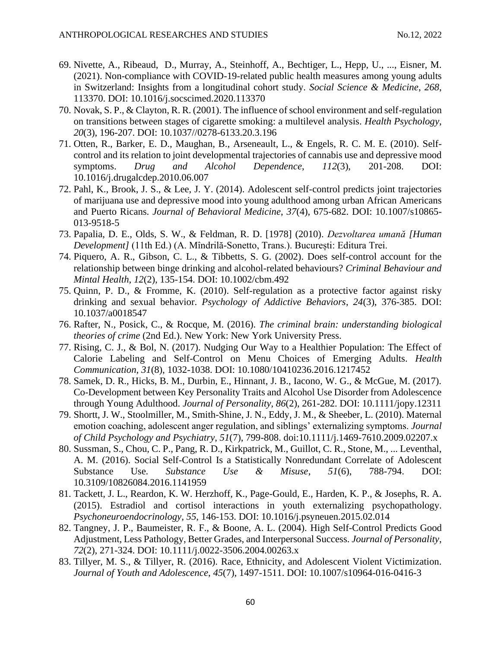- 69. Nivette, A., Ribeaud, D., Murray, A., Steinhoff, A., Bechtiger, L., Hepp, U., ..., Eisner, M. (2021). Non-compliance with COVID-19-related public health measures among young adults in Switzerland: Insights from a longitudinal cohort study. *Social Science & Medicine*, *268*, 113370. DOI: 10.1016/j.socscimed.2020.113370
- 70. Novak, S. P., & Clayton, R. R. (2001). The influence of school environment and self-regulation on transitions between stages of cigarette smoking: a multilevel analysis. *Health Psychology*, *20*(3), 196-207. DOI: 10.1037//0278-6133.20.3.196
- 71. Otten, R., Barker, E. D., Maughan, B., Arseneault, L., & Engels, R. C. M. E. (2010). Selfcontrol and its relation to joint developmental trajectories of cannabis use and depressive mood symptoms. *Drug and Alcohol Dependence*, *112*(3), 201-208. DOI: 10.1016/j.drugalcdep.2010.06.007
- 72. Pahl, K., Brook, J. S., & Lee, J. Y. (2014). Adolescent self-control predicts joint trajectories of marijuana use and depressive mood into young adulthood among urban African Americans and Puerto Ricans. *Journal of Behavioral Medicine*, *37*(4), 675-682. DOI: 10.1007/s10865- 013-9518-5
- 73. Papalia, D. E., Olds, S. W., & Feldman, R. D. [1978] (2010). *Dezvoltarea umană [Human Development]* (11th Ed.) (A. Mîndrilă-Sonetto, Trans.). București: Editura Trei.
- 74. Piquero, A. R., Gibson, C. L., & Tibbetts, S. G. (2002). Does self-control account for the relationship between binge drinking and alcohol-related behaviours? *Criminal Behaviour and Mintal Health*, *12*(2), 135-154. DOI: 10.1002/cbm.492
- 75. Quinn, P. D., & Fromme, K. (2010). Self-regulation as a protective factor against risky drinking and sexual behavior. *Psychology of Addictive Behaviors*, *24*(3), 376-385. DOI: 10.1037/a0018547
- 76. Rafter, N., Posick, C., & Rocque, M. (2016). *The criminal brain: understanding biological theories of crime* (2nd Ed.). New York: New York University Press.
- 77. Rising, C. J., & Bol, N. (2017). Nudging Our Way to a Healthier Population: The Effect of Calorie Labeling and Self-Control on Menu Choices of Emerging Adults. *Health Communication*, *31*(8), 1032-1038. DOI: 10.1080/10410236.2016.1217452
- 78. Samek, D. R., Hicks, B. M., Durbin, E., Hinnant, J. B., Iacono, W. G., & McGue, M. (2017). Co-Development between Key Personality Traits and Alcohol Use Disorder from Adolescence through Young Adulthood. *Journal of Personality*, *86*(2), 261-282. DOI: 10.1111/jopy.12311
- 79. Shortt, J. W., Stoolmiller, M., Smith-Shine, J. N., Eddy, J. M., & Sheeber, L. (2010). Maternal emotion coaching, adolescent anger regulation, and siblings' externalizing symptoms. *Journal of Child Psychology and Psychiatry*, *51*(7), 799-808. doi:10.1111/j.1469-7610.2009.02207.x
- 80. Sussman, S., Chou, C. P., Pang, R. D., Kirkpatrick, M., Guillot, C. R., Stone, M., ... Leventhal, A. M. (2016). Social Self-Control Is a Statistically Nonredundant Correlate of Adolescent Substance Use. *Substance Use & Misuse*, *51*(6), 788-794. DOI: 10.3109/10826084.2016.1141959
- 81. Tackett, J. L., Reardon, K. W. Herzhoff, K., Page-Gould, E., Harden, K. P., & Josephs, R. A. (2015). Estradiol and cortisol interactions in youth externalizing psychopathology. *Psychoneuroendocrinology*, *55*, 146-153. DOI: 10.1016/j.psyneuen.2015.02.014
- 82. Tangney, J. P., Baumeister, R. F., & Boone, A. L. (2004). High Self-Control Predicts Good Adjustment, Less Pathology, Better Grades, and Interpersonal Success. *Journal of Personality*, *72*(2), 271-324. DOI: 10.1111/j.0022-3506.2004.00263.x
- 83. Tillyer, M. S., & Tillyer, R. (2016). Race, Ethnicity, and Adolescent Violent Victimization. *Journal of Youth and Adolescence*, *45*(7), 1497-1511. DOI: 10.1007/s10964-016-0416-3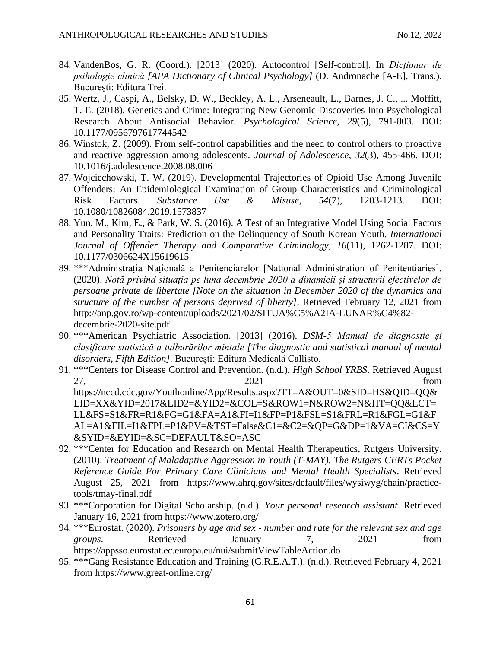- 84. VandenBos, G. R. (Coord.). [2013] (2020). Autocontrol [Self-control]. In *Dicționar de psihologie clinică [APA Dictionary of Clinical Psychology]* (D. Andronache [A-E], Trans.). București: Editura Trei.
- 85. Wertz, J., Caspi, A., Belsky, D. W., Beckley, A. L., Arseneault, L., Barnes, J. C., ... Moffitt, T. E. (2018). Genetics and Crime: Integrating New Genomic Discoveries Into Psychological Research About Antisocial Behavior. *Psychological Science*, *29*(5), 791-803. DOI: 10.1177/0956797617744542
- 86. Winstok, Z. (2009). From self-control capabilities and the need to control others to proactive and reactive aggression among adolescents. *Journal of Adolescence*, *32*(3), 455-466. DOI: 10.1016/j.adolescence.2008.08.006
- 87. Wojciechowski, T. W. (2019). Developmental Trajectories of Opioid Use Among Juvenile Offenders: An Epidemiological Examination of Group Characteristics and Criminological Risk Factors. *Substance Use & Misuse*, *54*(7), 1203-1213. DOI: 10.1080/10826084.2019.1573837
- 88. Yun, M., Kim, E., & Park, W. S. (2016). A Test of an Integrative Model Using Social Factors and Personality Traits: Prediction on the Delinquency of South Korean Youth. *International Journal of Offender Therapy and Comparative Criminology*, *16*(11), 1262-1287. DOI: 10.1177/0306624X15619615
- 89. \*\*\*Administrația Națională a Penitenciarelor [National Administration of Penitentiaries]. (2020). *Notă privind situația pe luna decembrie 2020 a dinamicii și structurii efectivelor de persoane private de libertate [Note on the situation in December 2020 of the dynamics and structure of the number of persons deprived of liberty]*. Retrieved February 12, 2021 from [http://anp.gov.ro/wp-content/uploads/2021/02/SITUA%C5%A2IA-LUNAR%C4%82](http://anp.gov.ro/wp-content/uploads/2021/02/SITUA%C5%A2IA-LUNAR%C4%82-decembrie-2020-site.pdf) [decembrie-2020-site.pdf](http://anp.gov.ro/wp-content/uploads/2021/02/SITUA%C5%A2IA-LUNAR%C4%82-decembrie-2020-site.pdf)
- 90. \*\*\*American Psychiatric Association. [2013] (2016). *DSM-5 Manual de diagnostic și clasificare statistică a tulburărilor mintale [The diagnostic and statistical manual of mental disorders, Fifth Edition]*. București: Editura Medicală Callisto.
- 91. \*\*\*Centers for Disease Control and Prevention. (n.d.). *High School YRBS*. Retrieved August 27, 2021 from [https://nccd.cdc.gov/Youthonline/App/Results.aspx?TT=A&OUT=0&SID=HS&QID=QQ&](https://nccd.cdc.gov/Youthonline/App/Results.aspx?TT=A&OUT=0&SID=HS&QID=QQ&LID=XX&YID=2017&LID2=&YID2=&COL=S&ROW1=N&ROW2=N&HT=QQ&LCT=LL&FS=S1&FR=R1&FG=G1&FA=A1&FI=I1&FP=P1&FSL=S1&FRL=R1&FGL=G1&FAL=A1&FIL=I1&FPL=P1&PV=&TST=False&C1=&C2=&QP=G&DP=1&VA=CI&CS=Y&SYID=&EYID=&SC=DEFAULT&SO=ASC) [LID=XX&YID=2017&LID2=&YID2=&COL=S&ROW1=N&ROW2=N&HT=QQ&LCT=](https://nccd.cdc.gov/Youthonline/App/Results.aspx?TT=A&OUT=0&SID=HS&QID=QQ&LID=XX&YID=2017&LID2=&YID2=&COL=S&ROW1=N&ROW2=N&HT=QQ&LCT=LL&FS=S1&FR=R1&FG=G1&FA=A1&FI=I1&FP=P1&FSL=S1&FRL=R1&FGL=G1&FAL=A1&FIL=I1&FPL=P1&PV=&TST=False&C1=&C2=&QP=G&DP=1&VA=CI&CS=Y&SYID=&EYID=&SC=DEFAULT&SO=ASC) [LL&FS=S1&FR=R1&FG=G1&FA=A1&FI=I1&FP=P1&FSL=S1&FRL=R1&FGL=G1&F](https://nccd.cdc.gov/Youthonline/App/Results.aspx?TT=A&OUT=0&SID=HS&QID=QQ&LID=XX&YID=2017&LID2=&YID2=&COL=S&ROW1=N&ROW2=N&HT=QQ&LCT=LL&FS=S1&FR=R1&FG=G1&FA=A1&FI=I1&FP=P1&FSL=S1&FRL=R1&FGL=G1&FAL=A1&FIL=I1&FPL=P1&PV=&TST=False&C1=&C2=&QP=G&DP=1&VA=CI&CS=Y&SYID=&EYID=&SC=DEFAULT&SO=ASC) [AL=A1&FIL=I1&FPL=P1&PV=&TST=False&C1=&C2=&QP=G&DP=1&VA=CI&CS=Y](https://nccd.cdc.gov/Youthonline/App/Results.aspx?TT=A&OUT=0&SID=HS&QID=QQ&LID=XX&YID=2017&LID2=&YID2=&COL=S&ROW1=N&ROW2=N&HT=QQ&LCT=LL&FS=S1&FR=R1&FG=G1&FA=A1&FI=I1&FP=P1&FSL=S1&FRL=R1&FGL=G1&FAL=A1&FIL=I1&FPL=P1&PV=&TST=False&C1=&C2=&QP=G&DP=1&VA=CI&CS=Y&SYID=&EYID=&SC=DEFAULT&SO=ASC) [&SYID=&EYID=&SC=DEFAULT&SO=ASC](https://nccd.cdc.gov/Youthonline/App/Results.aspx?TT=A&OUT=0&SID=HS&QID=QQ&LID=XX&YID=2017&LID2=&YID2=&COL=S&ROW1=N&ROW2=N&HT=QQ&LCT=LL&FS=S1&FR=R1&FG=G1&FA=A1&FI=I1&FP=P1&FSL=S1&FRL=R1&FGL=G1&FAL=A1&FIL=I1&FPL=P1&PV=&TST=False&C1=&C2=&QP=G&DP=1&VA=CI&CS=Y&SYID=&EYID=&SC=DEFAULT&SO=ASC)
- 92. \*\*\*Center for Education and Research on Mental Health Therapeutics, Rutgers University. (2010). *Treatment of Maladaptive Aggression in Youth (T-MAY). The Rutgers CERTs Pocket Reference Guide For Primary Care Clinicians and Mental Health Specialists*. Retrieved August 25, 2021 from [https://www.ahrq.gov/sites/default/files/wysiwyg/chain/practice](https://www.ahrq.gov/sites/default/files/wysiwyg/chain/practice-tools/tmay-final.pdf)[tools/tmay-final.pdf](https://www.ahrq.gov/sites/default/files/wysiwyg/chain/practice-tools/tmay-final.pdf)
- 93. \*\*\*Corporation for Digital Scholarship. (n.d.). *Your personal research assistant*. Retrieved January 16, 2021 from<https://www.zotero.org/>
- 94. \*\*\*Eurostat. (2020). *Prisoners by age and sex - number and rate for the relevant sex and age groups*. Retrieved January 7, 2021 from <https://appsso.eurostat.ec.europa.eu/nui/submitViewTableAction.do>
- 95. \*\*\*Gang Resistance Education and Training (G.R.E.A.T.). (n.d.). Retrieved February 4, 2021 from<https://www.great-online.org/>